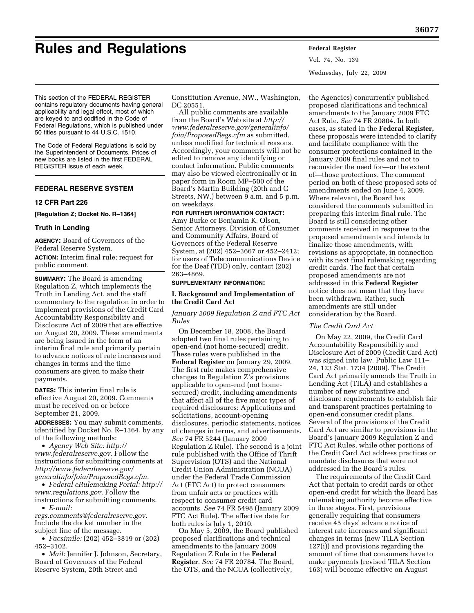# **Rules and Regulations Federal Register**

Vol. 74, No. 139 Wednesday, July 22, 2009

This section of the FEDERAL REGISTER contains regulatory documents having general applicability and legal effect, most of which are keyed to and codified in the Code of Federal Regulations, which is published under 50 titles pursuant to 44 U.S.C. 1510.

The Code of Federal Regulations is sold by the Superintendent of Documents. Prices of new books are listed in the first FEDERAL REGISTER issue of each week.

# **FEDERAL RESERVE SYSTEM**

#### **12 CFR Part 226**

**[Regulation Z; Docket No. R–1364]** 

# **Truth in Lending**

**AGENCY:** Board of Governors of the Federal Reserve System.

**ACTION:** Interim final rule; request for public comment.

**SUMMARY:** The Board is amending Regulation Z, which implements the Truth in Lending Act, and the staff commentary to the regulation in order to implement provisions of the Credit Card Accountability Responsibility and Disclosure Act of 2009 that are effective on August 20, 2009. These amendments are being issued in the form of an interim final rule and primarily pertain to advance notices of rate increases and changes in terms and the time consumers are given to make their payments.

**DATES:** This interim final rule is effective August 20, 2009. Comments must be received on or before September 21, 2009.

**ADDRESSES:** You may submit comments, identified by Docket No. R–1364, by any of the following methods:

• *[Agency Web Site: http://](http://www.federalreserve.gov)  www.federalreserve.gov.* Follow the instructions for submitting comments at *http://www.federalreserve.gov/ [generalinfo/foia/ProposedRegs.cfm.](http://www.federalreserve.gov/generalinfo/foia/ProposedRegs.cfm)* 

• *[Federal eRulemaking Portal: http://](http://www.regulations.gov) www.regulations.gov.* Follow the instructions for submitting comments.

• *E-mail: [regs.comments@federalreserve.gov.](mailto:regs.comments@federalreserve.gov)* 

Include the docket number in the subject line of the message.

• *Facsimile:* (202) 452–3819 or (202) 452–3102.

• *Mail:* Jennifer J. Johnson, Secretary, Board of Governors of the Federal Reserve System, 20th Street and

Constitution Avenue, NW., Washington, DC 20551

All public comments are available from the Board's Web site at *http:// [www.federalreserve.gov/generalinfo/](http://www.federalreserve.gov/generalinfo/foia/ProposedRegs.cfm)  foia/ProposedRegs.cfm* as submitted, unless modified for technical reasons. Accordingly, your comments will not be edited to remove any identifying or contact information. Public comments may also be viewed electronically or in paper form in Room MP–500 of the Board's Martin Building (20th and C Streets, NW.) between 9 a.m. and 5 p.m. on weekdays.

# **FOR FURTHER INFORMATION CONTACT:**

Amy Burke or Benjamin K. Olson, Senior Attorneys, Division of Consumer and Community Affairs, Board of Governors of the Federal Reserve System, at (202) 452–3667 or 452–2412; for users of Telecommunications Device for the Deaf (TDD) only, contact (202) 263–4869.

#### **SUPPLEMENTARY INFORMATION:**

# **I. Background and Implementation of the Credit Card Act**

*January 2009 Regulation Z and FTC Act Rules* 

On December 18, 2008, the Board adopted two final rules pertaining to open-end (not home-secured) credit. These rules were published in the **Federal Register** on January 29, 2009. The first rule makes comprehensive changes to Regulation Z's provisions applicable to open-end (not homesecured) credit, including amendments that affect all of the five major types of required disclosures: Applications and solicitations, account-opening disclosures, periodic statements, notices of changes in terms, and advertisements. *See* 74 FR 5244 (January 2009 Regulation Z Rule). The second is a joint rule published with the Office of Thrift Supervision (OTS) and the National Credit Union Administration (NCUA) under the Federal Trade Commission Act (FTC Act) to protect consumers from unfair acts or practices with respect to consumer credit card accounts. *See* 74 FR 5498 (January 2009 FTC Act Rule). The effective date for both rules is July 1, 2010.

On May 5, 2009, the Board published proposed clarifications and technical amendments to the January 2009 Regulation Z Rule in the **Federal Register**. *See* 74 FR 20784. The Board, the OTS, and the NCUA (collectively,

the Agencies) concurrently published proposed clarifications and technical amendments to the January 2009 FTC Act Rule. *See* 74 FR 20804. In both cases, as stated in the **Federal Register,**  these proposals were intended to clarify and facilitate compliance with the consumer protections contained in the January 2009 final rules and not to reconsider the need for—or the extent of—those protections. The comment period on both of these proposed sets of amendments ended on June 4, 2009. Where relevant, the Board has considered the comments submitted in preparing this interim final rule. The Board is still considering other comments received in response to the proposed amendments and intends to finalize those amendments, with revisions as appropriate, in connection with its next final rulemaking regarding credit cards. The fact that certain proposed amendments are not addressed in this **Federal Register**  notice does not mean that they have been withdrawn. Rather, such amendments are still under consideration by the Board.

## *The Credit Card Act*

On May 22, 2009, the Credit Card Accountability Responsibility and Disclosure Act of 2009 (Credit Card Act) was signed into law. Public Law 111– 24, 123 Stat. 1734 (2009). The Credit Card Act primarily amends the Truth in Lending Act (TILA) and establishes a number of new substantive and disclosure requirements to establish fair and transparent practices pertaining to open-end consumer credit plans. Several of the provisions of the Credit Card Act are similar to provisions in the Board's January 2009 Regulation Z and FTC Act Rules, while other portions of the Credit Card Act address practices or mandate disclosures that were not addressed in the Board's rules.

The requirements of the Credit Card Act that pertain to credit cards or other open-end credit for which the Board has rulemaking authority become effective in three stages. First, provisions generally requiring that consumers receive 45 days' advance notice of interest rate increases and significant changes in terms (new TILA Section 127(i)) and provisions regarding the amount of time that consumers have to make payments (revised TILA Section 163) will become effective on August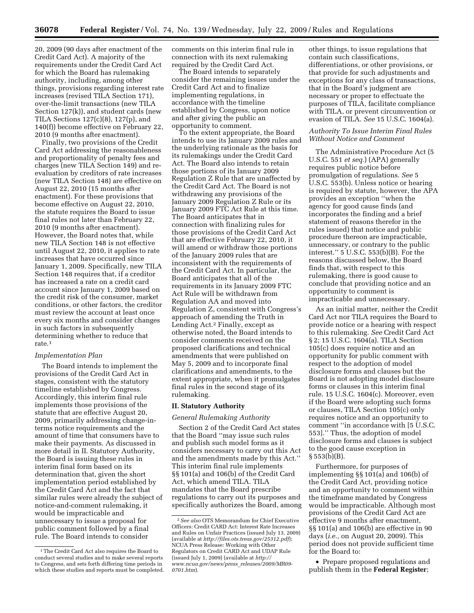20, 2009 (90 days after enactment of the Credit Card Act). A majority of the requirements under the Credit Card Act for which the Board has rulemaking authority, including, among other things, provisions regarding interest rate increases (revised TILA Section 171), over-the-limit transactions (new TILA Section 127(k)), and student cards (new TILA Sections 127(c)(8), 127(p), and 140(f)) become effective on February 22, 2010 (9 months after enactment).

Finally, two provisions of the Credit Card Act addressing the reasonableness and proportionality of penalty fees and charges (new TILA Section 149) and reevaluation by creditors of rate increases (new TILA Section 148) are effective on August 22, 2010 (15 months after enactment). For these provisions that become effective on August 22, 2010, the statute requires the Board to issue final rules not later than February 22, 2010 (9 months after enactment). However, the Board notes that, while new TILA Section 148 is not effective until August 22, 2010, it applies to rate increases that have occurred since January 1, 2009. Specifically, new TILA Section 148 requires that, if a creditor has increased a rate on a credit card account since January 1, 2009 based on the credit risk of the consumer, market conditions, or other factors, the creditor must review the account at least once every six months and consider changes in such factors in subsequently determining whether to reduce that rate.1

## *Implementation Plan*

The Board intends to implement the provisions of the Credit Card Act in stages, consistent with the statutory timeline established by Congress. Accordingly, this interim final rule implements those provisions of the statute that are effective August 20, 2009, primarily addressing change-interms notice requirements and the amount of time that consumers have to make their payments. As discussed in more detail in II. Statutory Authority, the Board is issuing these rules in interim final form based on its determination that, given the short implementation period established by the Credit Card Act and the fact that similar rules were already the subject of notice-and-comment rulemaking, it would be impracticable and unnecessary to issue a proposal for public comment followed by a final rule. The Board intends to consider

comments on this interim final rule in connection with its next rulemaking required by the Credit Card Act.

The Board intends to separately consider the remaining issues under the Credit Card Act and to finalize implementing regulations, in accordance with the timeline established by Congress, upon notice and after giving the public an opportunity to comment.

To the extent appropriate, the Board intends to use its January 2009 rules and the underlying rationale as the basis for its rulemakings under the Credit Card Act. The Board also intends to retain those portions of its January 2009 Regulation Z Rule that are unaffected by the Credit Card Act. The Board is not withdrawing any provisions of the January 2009 Regulation Z Rule or its January 2009 FTC Act Rule at this time. The Board anticipates that in connection with finalizing rules for those provisions of the Credit Card Act that are effective February 22, 2010, it will amend or withdraw those portions of the January 2009 rules that are inconsistent with the requirements of the Credit Card Act. In particular, the Board anticipates that all of the requirements in its January 2009 FTC Act Rule will be withdrawn from Regulation AA and moved into Regulation Z, consistent with Congress's approach of amending the Truth in Lending Act.2 Finally, except as otherwise noted, the Board intends to consider comments received on the proposed clarifications and technical amendments that were published on May 5, 2009 and to incorporate final clarifications and amendments, to the extent appropriate, when it promulgates final rules in the second stage of its rulemaking.

#### **II. Statutory Authority**

#### *General Rulemaking Authority*

Section 2 of the Credit Card Act states that the Board ''may issue such rules and publish such model forms as it considers necessary to carry out this Act and the amendments made by this Act.'' This interim final rule implements §§ 101(a) and 106(b) of the Credit Card Act, which amend TILA. TILA mandates that the Board prescribe regulations to carry out its purposes and specifically authorizes the Board, among

other things, to issue regulations that contain such classifications, differentiations, or other provisions, or that provide for such adjustments and exceptions for any class of transactions, that in the Board's judgment are necessary or proper to effectuate the purposes of TILA, facilitate compliance with TILA, or prevent circumvention or evasion of TILA. *See* 15 U.S.C. 1604(a).

# *Authority To Issue Interim Final Rules Without Notice and Comment*

The Administrative Procedure Act (5 U.S.C. 551 *et seq.*) (APA) generally requires public notice before promulgation of regulations. *See* 5 U.S.C. 553(b). Unless notice or hearing is required by statute, however, the APA provides an exception ''when the agency for good cause finds (and incorporates the finding and a brief statement of reasons therefor in the rules issued) that notice and public procedure thereon are impracticable, unnecessary, or contrary to the public interest.'' 5 U.S.C. 553(b)(B). For the reasons discussed below, the Board finds that, with respect to this rulemaking, there is good cause to conclude that providing notice and an opportunity to comment is impracticable and unnecessary.

As an initial matter, neither the Credit Card Act nor TILA requires the Board to provide notice or a hearing with respect to this rulemaking. *See* Credit Card Act § 2; 15 U.S.C. 1604(a). TILA Section 105(c) does require notice and an opportunity for public comment with respect to the adoption of model disclosure forms and clauses but the Board is not adopting model disclosure forms or clauses in this interim final rule. 15 U.S.C. 1604(c). Moreover, even if the Board were adopting such forms or clauses, TILA Section 105(c) only requires notice and an opportunity to comment ''in accordance with [5 U.S.C. 553].'' Thus, the adoption of model disclosure forms and clauses is subject to the good cause exception in  $§ 553(b)(B).$ 

Furthermore, for purposes of implementing §§ 101(a) and 106(b) of the Credit Card Act, providing notice and an opportunity to comment within the timeframe mandated by Congress would be impracticable. Although most provisions of the Credit Card Act are effective 9 months after enactment, §§ 101(a) and 106(b) are effective in 90 days (*i.e.,* on August 20, 2009). This period does not provide sufficient time for the Board to:

• Prepare proposed regulations and publish them in the **Federal Register**;

<sup>1</sup>The Credit Card Act also requires the Board to conduct several studies and to make several reports to Congress, and sets forth differing time periods in which these studies and reports must be completed.

<sup>2</sup>*See also* OTS Memorandum for Chief Executive Officers: Credit CARD Act: Interest Rate Increases and Rules on Unfair Practices (issued July 13, 2009) (available at *<http://files.ots.treas.gov/25312.pdf>*); NCUA Press Release: Working with Other Regulators on Credit CARD Act and UDAP Rule [\(issued July 1, 2009\) \(available at](http://www.ncua.gov/news/press_releases/2009/MR09-0701.htm) *http:// www.ncua.gov/news/press*\_*releases/2009/MR09- 0701.htm*).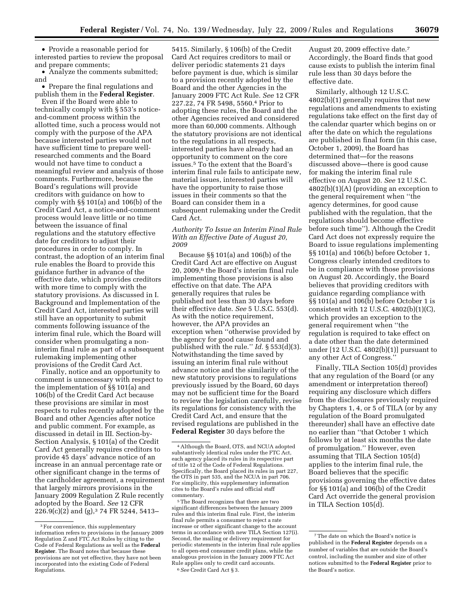• Provide a reasonable period for interested parties to review the proposal and prepare comments;

• Analyze the comments submitted; and

• Prepare the final regulations and publish them in the **Federal Register**.

Even if the Board were able to technically comply with § 553's noticeand-comment process within the allotted time, such a process would not comply with the purpose of the APA because interested parties would not have sufficient time to prepare wellresearched comments and the Board would not have time to conduct a meaningful review and analysis of those comments. Furthermore, because the Board's regulations will provide creditors with guidance on how to comply with §§ 101(a) and 106(b) of the Credit Card Act, a notice-and-comment process would leave little or no time between the issuance of final regulations and the statutory effective date for creditors to adjust their procedures in order to comply. In contrast, the adoption of an interim final rule enables the Board to provide this guidance further in advance of the effective date, which provides creditors with more time to comply with the statutory provisions. As discussed in I. Background and Implementation of the Credit Card Act, interested parties will still have an opportunity to submit comments following issuance of the interim final rule, which the Board will consider when promulgating a noninterim final rule as part of a subsequent rulemaking implementing other provisions of the Credit Card Act.

Finally, notice and an opportunity to comment is unnecessary with respect to the implementation of §§ 101(a) and 106(b) of the Credit Card Act because these provisions are similar in most respects to rules recently adopted by the Board and other Agencies after notice and public comment. For example, as discussed in detail in III. Section-by-Section Analysis, § 101(a) of the Credit Card Act generally requires creditors to provide 45 days' advance notice of an increase in an annual percentage rate or other significant change in the terms of the cardholder agreement, a requirement that largely mirrors provisions in the January 2009 Regulation Z Rule recently adopted by the Board. *See* 12 CFR 226.9(c)(2) and (g),3 74 FR 5244, 5413–

5415. Similarly, § 106(b) of the Credit Card Act requires creditors to mail or deliver periodic statements 21 days before payment is due, which is similar to a provision recently adopted by the Board and the other Agencies in the January 2009 FTC Act Rule. *See* 12 CFR 227.22, 74 FR 5498, 5560.4 Prior to adopting these rules, the Board and the other Agencies received and considered more than 60,000 comments. Although the statutory provisions are not identical to the regulations in all respects, interested parties have already had an opportunity to comment on the core issues.5 To the extent that the Board's interim final rule fails to anticipate new, material issues, interested parties will have the opportunity to raise those issues in their comments so that the Board can consider them in a subsequent rulemaking under the Credit Card Act.

# *Authority To Issue an Interim Final Rule With an Effective Date of August 20, 2009*

Because §§ 101(a) and 106(b) of the Credit Card Act are effective on August 20, 2009,6 the Board's interim final rule implementing those provisions is also effective on that date. The APA generally requires that rules be published not less than 30 days before their effective date. *See* 5 U.S.C. 553(d). As with the notice requirement, however, the APA provides an exception when ''otherwise provided by the agency for good cause found and published with the rule.'' *Id.* § 553(d)(3). Notwithstanding the time saved by issuing an interim final rule without advance notice and the similarity of the new statutory provisions to regulations previously issued by the Board, 60 days may not be sufficient time for the Board to review the legislation carefully, revise its regulations for consistency with the Credit Card Act, and ensure that the revised regulations are published in the **Federal Register** 30 days before the

August 20, 2009 effective date.7 Accordingly, the Board finds that good cause exists to publish the interim final rule less than 30 days before the effective date.

Similarly, although 12 U.S.C. 4802(b)(1) generally requires that new regulations and amendments to existing regulations take effect on the first day of the calendar quarter which begins on or after the date on which the regulations are published in final form (in this case, October 1, 2009), the Board has determined that—for the reasons discussed above—there is good cause for making the interim final rule effective on August 20. *See* 12 U.S.C. 4802(b)(1)(A) (providing an exception to the general requirement when ''the agency determines, for good cause published with the regulation, that the regulations should become effective before such time''). Although the Credit Card Act does not expressly require the Board to issue regulations implementing §§ 101(a) and 106(b) before October 1, Congress clearly intended creditors to be in compliance with those provisions on August 20. Accordingly, the Board believes that providing creditors with guidance regarding compliance with §§ 101(a) and 106(b) before October 1 is consistent with 12 U.S.C. 4802(b)(1)(C), which provides an exception to the general requirement when ''the regulation is required to take effect on a date other than the date determined under [12 U.S.C. 4802(b)(1)] pursuant to any other Act of Congress.''

Finally, TILA Section 105(d) provides that any regulation of the Board (or any amendment or interpretation thereof) requiring any disclosure which differs from the disclosures previously required by Chapters 1, 4, or 5 of TILA (or by any regulation of the Board promulgated thereunder) shall have an effective date no earlier than ''that October 1 which follows by at least six months the date of promulgation.'' However, even assuming that TILA Section 105(d) applies to the interim final rule, the Board believes that the specific provisions governing the effective dates for §§ 101(a) and 106(b) of the Credit Card Act override the general provision in TILA Section 105(d).

<sup>&</sup>lt;sup>3</sup>For convenience, this supplementary information refers to provisions in the January 2009 Regulation Z and FTC Act Rules by citing to the Code of Federal Regulations as well as the **Federal Register**. The Board notes that because these provisions are not yet effective, they have not been incorporated into the existing Code of Federal Regulations.

<sup>4</sup>Although the Board, OTS, and NCUA adopted substantively identical rules under the FTC Act, each agency placed its rules in its respective part of title 12 of the Code of Federal Regulations. Specifically, the Board placed its rules in part 227, the OTS in part 535, and the NCUA in part 706. For simplicity, this supplementary information cites to the Board's rules and official staff commentary.

<sup>5</sup>The Board recognizes that there are two significant differences between the January 2009 rules and this interim final rule. First, the interim final rule permits a consumer to reject a rate increase or other significant change to the account terms in accordance with new TILA Section 127(i). Second, the mailing or delivery requirement for periodic statements in the interim final rule applies to all open-end consumer credit plans, while the analogous provision in the January 2009 FTC Act Rule applies only to credit card accounts. 6*See* Credit Card Act § 3.

<sup>7</sup>The date on which the Board's notice is published in the **Federal Register** depends on a number of variables that are outside the Board's control, including the number and size of other notices submitted to the **Federal Register** prior to the Board's notice.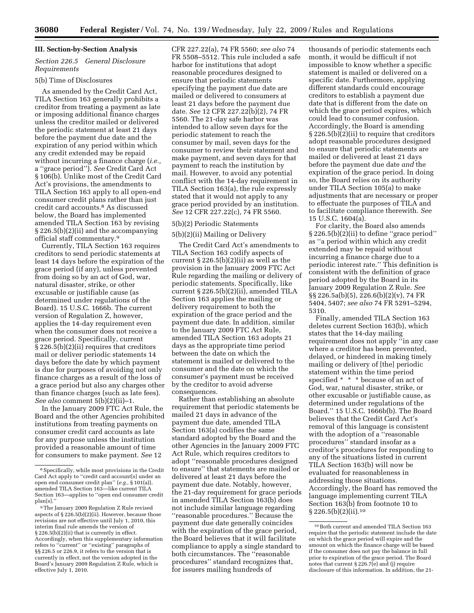# **III. Section-by-Section Analysis**

# *Section 226.5 General Disclosure Requirements*

#### 5(b) Time of Disclosures

As amended by the Credit Card Act, TILA Section 163 generally prohibits a creditor from treating a payment as late or imposing additional finance charges unless the creditor mailed or delivered the periodic statement at least 21 days before the payment due date and the expiration of any period within which any credit extended may be repaid without incurring a finance charge (*i.e.,*  a ''grace period''). *See* Credit Card Act § 106(b). Unlike most of the Credit Card Act's provisions, the amendments to TILA Section 163 apply to all open-end consumer credit plans rather than just credit card accounts.8 As discussed below, the Board has implemented amended TILA Section 163 by revising § 226.5(b)(2)(ii) and the accompanying official staff commentary.9

Currently, TILA Section 163 requires creditors to send periodic statements at least 14 days before the expiration of the grace period (if any), unless prevented from doing so by an act of God, war, natural disaster, strike, or other excusable or justifiable cause (as determined under regulations of the Board). 15 U.S.C. 1666b. The current version of Regulation Z, however, applies the 14-day requirement even when the consumer does not receive a grace period. Specifically, current § 226.5(b)(2)(ii) requires that creditors mail or deliver periodic statements 14 days before the date by which payment is due for purposes of avoiding not only finance charges as a result of the loss of a grace period but also any charges other than finance charges (such as late fees). *See also* comment 5(b)(2)(ii)–1.

In the January 2009 FTC Act Rule, the Board and the other Agencies prohibited institutions from treating payments on consumer credit card accounts as late for any purpose unless the institution provided a reasonable amount of time for consumers to make payment. *See* 12

CFR 227.22(a), 74 FR 5560; *see also* 74 FR 5508–5512. This rule included a safe harbor for institutions that adopt reasonable procedures designed to ensure that periodic statements specifying the payment due date are mailed or delivered to consumers at least 21 days before the payment due date. *See* 12 CFR 227.22(b)(2), 74 FR 5560. The 21-day safe harbor was intended to allow seven days for the periodic statement to reach the consumer by mail, seven days for the consumer to review their statement and make payment, and seven days for that payment to reach the institution by mail. However, to avoid any potential conflict with the 14-day requirement in TILA Section 163(a), the rule expressly stated that it would not apply to any grace period provided by an institution. *See* 12 CFR 227.22(c), 74 FR 5560.

# 5(b)(2) Periodic Statements

5(b)(2)(ii) Mailing or Delivery

The Credit Card Act's amendments to TILA Section 163 codify aspects of current § 226.5(b)(2)(ii) as well as the provision in the January 2009 FTC Act Rule regarding the mailing or delivery of periodic statements. Specifically, like current § 226.5(b)(2)(ii), amended TILA Section 163 applies the mailing or delivery requirement to both the expiration of the grace period and the payment due date. In addition, similar to the January 2009 FTC Act Rule, amended TILA Section 163 adopts 21 days as the appropriate time period between the date on which the statement is mailed or delivered to the consumer and the date on which the consumer's payment must be received by the creditor to avoid adverse consequences.

Rather than establishing an absolute requirement that periodic statements be mailed 21 days in advance of the payment due date, amended TILA Section 163(a) codifies the same standard adopted by the Board and the other Agencies in the January 2009 FTC Act Rule, which requires creditors to adopt ''reasonable procedures designed to ensure'' that statements are mailed or delivered at least 21 days before the payment due date. Notably, however, the 21-day requirement for grace periods in amended TILA Section 163(b) does not include similar language regarding ''reasonable procedures.'' Because the payment due date generally coincides with the expiration of the grace period, the Board believes that it will facilitate compliance to apply a single standard to both circumstances. The ''reasonable procedures'' standard recognizes that, for issuers mailing hundreds of

thousands of periodic statements each month, it would be difficult if not impossible to know whether a specific statement is mailed or delivered on a specific date. Furthermore, applying different standards could encourage creditors to establish a payment due date that is different from the date on which the grace period expires, which could lead to consumer confusion. Accordingly, the Board is amending § 226.5(b)(2)(ii) to require that creditors adopt reasonable procedures designed to ensure that periodic statements are mailed or delivered at least 21 days before the payment due date *and* the expiration of the grace period. In doing so, the Board relies on its authority under TILA Section 105(a) to make adjustments that are necessary or proper to effectuate the purposes of TILA and to facilitate compliance therewith. *See*  15 U.S.C. 1604(a).

For clarity, the Board also amends § 226.5(b)(2)(ii) to define "grace period" as ''a period within which any credit extended may be repaid without incurring a finance charge due to a periodic interest rate.'' This definition is consistent with the definition of grace period adopted by the Board in its January 2009 Regulation Z Rule. *See*  §§ 226.5a(b)(5), 226.6(b)(2)(v), 74 FR 5404, 5407; *see also* 74 FR 5291–5294, 5310.

Finally, amended TILA Section 163 deletes current Section 163(b), which states that the 14-day mailing requirement does not apply ''in any case where a creditor has been prevented, delayed, or hindered in making timely mailing or delivery of [the] periodic statement within the time period specified \* \* \* because of an act of God, war, natural disaster, strike, or other excusable or justifiable cause, as determined under regulations of the Board.'' 15 U.S.C. 1666b(b). The Board believes that the Credit Card Act's removal of this language is consistent with the adoption of a "reasonable procedures'' standard insofar as a creditor's procedures for responding to any of the situations listed in current TILA Section 163(b) will now be evaluated for reasonableness in addressing those situations. Accordingly, the Board has removed the language implementing current TILA Section 163(b) from footnote 10 to  $\S 226.5(b)(2)(ii).$ <sup>10</sup>

<sup>8</sup>Specifically, while most provisions in the Credit Card Act apply to ''credit card account[s] under an open end consumer credit plan'' (*e.g.,* § 101(a)), amended TILA Section 163—like current TILA Section 163—applies to ''open end consumer credit plan[s].''

<sup>9</sup>The January 2009 Regulation Z Rule revised aspects of § 226.5(b)(2)(ii). However, because those revisions are not effective until July 1, 2010, this interim final rule amends the version of § 226.5(b)(2)(ii) that is currently in effect. Accordingly, when this supplementary information refers to ''current'' or ''existing'' paragraphs of §§ 226.5 or 226.9, it refers to the version that is currently in effect, not the version adopted in the Board's January 2009 Regulation Z Rule, which is effective July 1, 2010.

 $^{\rm 10}\,$  Both current and amended TILA Section 163 require that the periodic statement include the date on which the grace period will expire and the amount on which the finance charge will be based if the consumer does not pay the balance in full prior to expiration of the grace period. The Board notes that current  $\S 226.7(e)$  and (j) require disclosure of this information. In addition, the 21-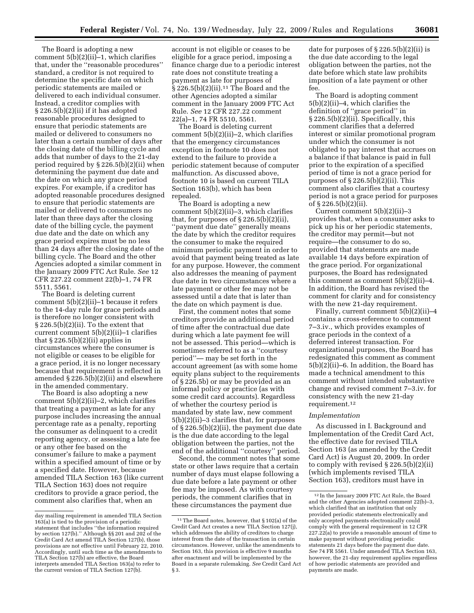The Board is adopting a new comment 5(b)(2)(ii)–1, which clarifies that, under the ''reasonable procedures'' standard, a creditor is not required to determine the specific date on which periodic statements are mailed or delivered to each individual consumer. Instead, a creditor complies with § 226.5(b)(2)(ii) if it has adopted reasonable procedures designed to ensure that periodic statements are mailed or delivered to consumers no later than a certain number of days after the closing date of the billing cycle and adds that number of days to the 21-day period required by § 226.5(b)(2)(ii) when determining the payment due date and the date on which any grace period expires. For example, if a creditor has adopted reasonable procedures designed to ensure that periodic statements are mailed or delivered to consumers no later than three days after the closing date of the billing cycle, the payment due date and the date on which any grace period expires must be no less than 24 days after the closing date of the billing cycle. The Board and the other Agencies adopted a similar comment in the January 2009 FTC Act Rule. *See* 12 CFR 227.22 comment 22(b)–1, 74 FR 5511, 5561.

The Board is deleting current comment 5(b)(2)(ii)–1 because it refers to the 14-day rule for grace periods and is therefore no longer consistent with § 226.5(b)(2)(ii). To the extent that current comment 5(b)(2)(ii)–1 clarifies that  $\S 226.5(b)(2)(ii)$  applies in circumstances where the consumer is not eligible or ceases to be eligible for a grace period, it is no longer necessary because that requirement is reflected in amended § 226.5(b)(2)(ii) and elsewhere in the amended commentary.

The Board is also adopting a new comment 5(b)(2)(ii)–2, which clarifies that treating a payment as late for any purpose includes increasing the annual percentage rate as a penalty, reporting the consumer as delinquent to a credit reporting agency, or assessing a late fee or any other fee based on the consumer's failure to make a payment within a specified amount of time or by a specified date. However, because amended TILA Section 163 (like current TILA Section 163) does not require creditors to provide a grace period, the comment also clarifies that, when an

account is not eligible or ceases to be eligible for a grace period, imposing a finance charge due to a periodic interest rate does not constitute treating a payment as late for purposes of  $\S 226.5(b)(2)(ii).$ <sup>11</sup> The Board and the other Agencies adopted a similar comment in the January 2009 FTC Act Rule. *See* 12 CFR 227.22 comment 22(a)–1, 74 FR 5510, 5561.

The Board is deleting current comment 5(b)(2)(ii)–2, which clarifies that the emergency circumstances exception in footnote 10 does not extend to the failure to provide a periodic statement because of computer malfunction. As discussed above, footnote 10 is based on current TILA Section 163(b), which has been repealed.

The Board is adopting a new comment 5(b)(2)(ii)–3, which clarifies that, for purposes of  $\S 226.5(b)(2)(ii)$ , ''payment due date'' generally means the date by which the creditor requires the consumer to make the required minimum periodic payment in order to avoid that payment being treated as late for any purpose. However, the comment also addresses the meaning of payment due date in two circumstances where a late payment or other fee may not be assessed until a date that is later than the date on which payment is due.

First, the comment notes that some creditors provide an additional period of time after the contractual due date during which a late payment fee will not be assessed. This period—which is sometimes referred to as a ''courtesy period''— may be set forth in the account agreement (as with some home equity plans subject to the requirements of § 226.5b) or may be provided as an informal policy or practice (as with some credit card accounts). Regardless of whether the courtesy period is mandated by state law, new comment 5(b)(2)(ii)–3 clarifies that, for purposes of § 226.5(b)(2)(ii), the payment due date is the due date according to the legal obligation between the parties, not the end of the additional ''courtesy'' period.

Second, the comment notes that some state or other laws require that a certain number of days must elapse following a due date before a late payment or other fee may be imposed. As with courtesy periods, the comment clarifies that in these circumstances the payment due

date for purposes of  $\S 226.5(b)(2)(ii)$  is the due date according to the legal obligation between the parties, not the date before which state law prohibits imposition of a late payment or other fee.

The Board is adopting comment 5(b)(2)(ii)–4, which clarifies the definition of ''grace period'' in § 226.5(b)(2)(ii). Specifically, this comment clarifies that a deferred interest or similar promotional program under which the consumer is not obligated to pay interest that accrues on a balance if that balance is paid in full prior to the expiration of a specified period of time is not a grace period for purposes of  $\S 226.5(b)(2)(ii)$ . This comment also clarifies that a courtesy period is not a grace period for purposes of § 226.5(b)(2)(ii).

Current comment 5(b)(2)(ii)–3 provides that, when a consumer asks to pick up his or her periodic statements, the creditor may permit—but not require—the consumer to do so, provided that statements are made available 14 days before expiration of the grace period. For organizational purposes, the Board has redesignated this comment as comment  $5(b)(2)(ii)-4$ . In addition, the Board has revised the comment for clarity and for consistency with the new 21-day requirement.

Finally, current comment 5(b)(2)(ii)–4 contains a cross-reference to comment 7–3.iv., which provides examples of grace periods in the context of a deferred interest transaction. For organizational purposes, the Board has redesignated this comment as comment 5(b)(2)(ii)–6. In addition, the Board has made a technical amendment to this comment without intended substantive change and revised comment 7–3.iv. for consistency with the new 21-day requirement.12

#### *Implementation*

As discussed in I. Background and Implementation of the Credit Card Act, the effective date for revised TILA Section 163 (as amended by the Credit Card Act) is August 20, 2009. In order to comply with revised § 226.5(b)(2)(ii) (which implements revised TILA Section 163), creditors must have in

day mailing requirement in amended TILA Section 163(a) is tied to the provision of a periodic statement that includes ''the information required by section 127(b).'' Although §§ 201 and 202 of the Credit Card Act amend TILA Section 127(b), those provisions are not effective until February 22, 2010. Accordingly, until such time as the amendments to TILA Section 127(b) are effective, the Board interprets amended TILA Section 163(a) to refer to the current version of TILA Section 127(b).

<sup>11</sup>The Board notes, however, that § 102(a) of the Credit Card Act creates a new TILA Section 127(j), which addresses the ability of creditors to charge interest from the date of the transaction in certain circumstances. However, unlike the amendments to Section 163, this provision is effective 9 months after enactment and will be implemented by the Board in a separate rulemaking. *See* Credit Card Act § 3.

<sup>12</sup> In the January 2009 FTC Act Rule, the Board and the other Agencies adopted comment 22(b)–3, which clarified that an institution that only provided periodic statements electronically and only accepted payments electronically could comply with the general requirement in 12 CFR 227.22(a) to provide a reasonable amount of time to make payment without providing periodic statements 21 days before the payment due date. *See* 74 FR 5561. Under amended TILA Section 163, however, the 21-day requirement applies regardless of how periodic statements are provided and payments are made.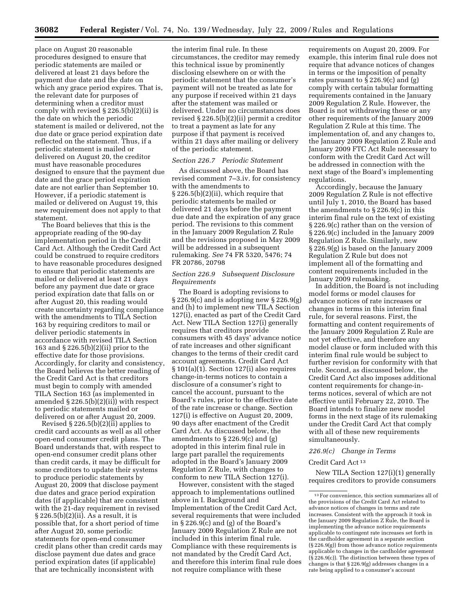place on August 20 reasonable procedures designed to ensure that periodic statements are mailed or delivered at least 21 days before the payment due date and the date on which any grace period expires. That is, the relevant date for purposes of determining when a creditor must comply with revised  $\S 226.5(b)(2)(ii)$  is the date on which the periodic statement is mailed or delivered, not the due date or grace period expiration date reflected on the statement. Thus, if a periodic statement is mailed or delivered on August 20, the creditor must have reasonable procedures designed to ensure that the payment due date and the grace period expiration date are not earlier than September 10. However, if a periodic statement is mailed or delivered on August 19, this new requirement does not apply to that statement.

The Board believes that this is the appropriate reading of the 90-day implementation period in the Credit Card Act. Although the Credit Card Act could be construed to require creditors to have reasonable procedures designed to ensure that periodic statements are mailed or delivered at least 21 days before any payment due date or grace period expiration date that falls on or after August 20, this reading would create uncertainty regarding compliance with the amendments to TILA Section 163 by requiring creditors to mail or deliver periodic statements in accordance with revised TILA Section 163 and § 226.5(b)(2)(ii) prior to the effective date for those provisions. Accordingly, for clarity and consistency, the Board believes the better reading of the Credit Card Act is that creditors must begin to comply with amended TILA Section 163 (as implemented in amended § 226.5(b)(2)(ii)) with respect to periodic statements mailed or delivered on or after August 20, 2009.

Revised § 226.5(b)(2)(ii) applies to credit card accounts as well as all other open-end consumer credit plans. The Board understands that, with respect to open-end consumer credit plans other than credit cards, it may be difficult for some creditors to update their systems to produce periodic statements by August 20, 2009 that disclose payment due dates and grace period expiration dates (if applicable) that are consistent with the 21-day requirement in revised § 226.5(b)(2)(ii). As a result, it is possible that, for a short period of time after August 20, some periodic statements for open-end consumer credit plans other than credit cards may disclose payment due dates and grace period expiration dates (if applicable) that are technically inconsistent with

the interim final rule. In these circumstances, the creditor may remedy this technical issue by prominently disclosing elsewhere on or with the periodic statement that the consumer's payment will not be treated as late for any purpose if received within 21 days after the statement was mailed or delivered. Under no circumstances does revised § 226.5(b)(2)(ii) permit a creditor to treat a payment as late for any purpose if that payment is received within 21 days after mailing or delivery of the periodic statement.

#### *Section 226.7 Periodic Statement*

As discussed above, the Board has revised comment 7–3.iv. for consistency with the amendments to § 226.5(b)(2)(ii), which require that periodic statements be mailed or delivered 21 days before the payment due date and the expiration of any grace period. The revisions to this comment in the January 2009 Regulation Z Rule and the revisions proposed in May 2009 will be addressed in a subsequent rulemaking. *See* 74 FR 5320, 5476; 74 FR 20786, 20798

# *Section 226.9 Subsequent Disclosure Requirements*

The Board is adopting revisions to  $\S 226.9(c)$  and is adopting new  $\S 226.9(g)$ and (h) to implement new TILA Section 127(i), enacted as part of the Credit Card Act. New TILA Section 127(i) generally requires that creditors provide consumers with 45 days' advance notice of rate increases and other significant changes to the terms of their credit card account agreements. Credit Card Act § 101(a)(1). Section 127(i) also requires change-in-terms notices to contain a disclosure of a consumer's right to cancel the account, pursuant to the Board's rules, prior to the effective date of the rate increase or change. Section 127(i) is effective on August 20, 2009, 90 days after enactment of the Credit Card Act. As discussed below, the amendments to § 226.9(c) and (g) adopted in this interim final rule in large part parallel the requirements adopted in the Board's January 2009 Regulation Z Rule, with changes to conform to new TILA Section 127(i).

However, consistent with the staged approach to implementations outlined above in I. Background and Implementation of the Credit Card Act, several requirements that were included in § 226.9(c) and (g) of the Board's January 2009 Regulation Z Rule are not included in this interim final rule. Compliance with these requirements is not mandated by the Credit Card Act, and therefore this interim final rule does not require compliance with these

requirements on August 20, 2009. For example, this interim final rule does not require that advance notices of changes in terms or the imposition of penalty rates pursuant to § 226.9(c) and (g) comply with certain tabular formatting requirements contained in the January 2009 Regulation Z Rule. However, the Board is not withdrawing these or any other requirements of the January 2009 Regulation Z Rule at this time. The implementation of, and any changes to, the January 2009 Regulation Z Rule and January 2009 FTC Act Rule necessary to conform with the Credit Card Act will be addressed in connection with the next stage of the Board's implementing regulations.

Accordingly, because the January 2009 Regulation Z Rule is not effective until July 1, 2010, the Board has based the amendments to § 226.9(c) in this interim final rule on the text of existing § 226.9(c) rather than on the version of § 226.9(c) included in the January 2009 Regulation Z Rule. Similarly, new § 226.9(g) is based on the January 2009 Regulation Z Rule but does not implement all of the formatting and content requirements included in the January 2009 rulemaking.

In addition, the Board is not including model forms or model clauses for advance notices of rate increases or changes in terms in this interim final rule, for several reasons. First, the formatting and content requirements of the January 2009 Regulation Z Rule are not yet effective, and therefore any model clause or form included with this interim final rule would be subject to further revision for conformity with that rule. Second, as discussed below, the Credit Card Act also imposes additional content requirements for change-interms notices, several of which are not effective until February 22, 2010. The Board intends to finalize new model forms in the next stage of its rulemaking under the Credit Card Act that comply with all of these new requirements simultaneously.

#### *226.9(c) Change in Terms*

#### Credit Card Act 13

New TILA Section 127(i)(1) generally requires creditors to provide consumers

<sup>13</sup>For convenience, this section summarizes all of the provisions of the Credit Card Act related to advance notices of changes in terms and rate increases. Consistent with the approach it took in the January 2009 Regulation Z Rule, the Board is implementing the advance notice requirements applicable to contingent rate increases set forth in the cardholder agreement in a separate section (§ 226.9(g)) from those advance notice requirements applicable to changes in the cardholder agreement (§ 226.9(c)). The distinction between these types of changes is that § 226.9(g) addresses changes in a rate being applied to a consumer's account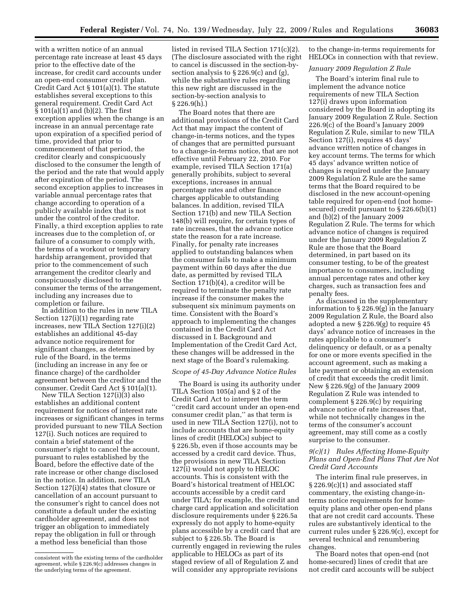with a written notice of an annual percentage rate increase at least 45 days prior to the effective date of the increase, for credit card accounts under an open-end consumer credit plan. Credit Card Act § 101(a)(1). The statute establishes several exceptions to this general requirement. Credit Card Act § 101(a)(1) and (b)(2). The first exception applies when the change is an increase in an annual percentage rate upon expiration of a specified period of time, provided that prior to commencement of that period, the creditor clearly and conspicuously disclosed to the consumer the length of the period and the rate that would apply after expiration of the period. The second exception applies to increases in variable annual percentage rates that change according to operation of a publicly available index that is not under the control of the creditor. Finally, a third exception applies to rate increases due to the completion of, or failure of a consumer to comply with, the terms of a workout or temporary hardship arrangement, provided that prior to the commencement of such arrangement the creditor clearly and conspicuously disclosed to the consumer the terms of the arrangement, including any increases due to completion or failure.

In addition to the rules in new TILA Section 127(i)(1) regarding rate increases, new TILA Section 127(i)(2) establishes an additional 45-day advance notice requirement for significant changes, as determined by rule of the Board, in the terms (including an increase in any fee or finance charge) of the cardholder agreement between the creditor and the consumer. Credit Card Act § 101(a)(1).

New TILA Section 127(i)(3) also establishes an additional content requirement for notices of interest rate increases or significant changes in terms provided pursuant to new TILA Section 127(i). Such notices are required to contain a brief statement of the consumer's right to cancel the account, pursuant to rules established by the Board, before the effective date of the rate increase or other change disclosed in the notice. In addition, new TILA Section 127(i)(4) states that closure or cancellation of an account pursuant to the consumer's right to cancel does not constitute a default under the existing cardholder agreement, and does not trigger an obligation to immediately repay the obligation in full or through a method less beneficial than those

listed in revised TILA Section 171(c)(2). (The disclosure associated with the right to cancel is discussed in the section-bysection analysis to § 226.9(c) and (g), while the substantive rules regarding this new right are discussed in the section-by-section analysis to § 226.9(h).)

The Board notes that there are additional provisions of the Credit Card Act that may impact the content of change-in-terms notices, and the types of changes that are permitted pursuant to a change-in-terms notice, that are not effective until February 22, 2010. For example, revised TILA Section 171(a) generally prohibits, subject to several exceptions, increases in annual percentage rates and other finance charges applicable to outstanding balances. In addition, revised TILA Section 171(b) and new TILA Section 148(b) will require, for certain types of rate increases, that the advance notice state the reason for a rate increase. Finally, for penalty rate increases applied to outstanding balances when the consumer fails to make a minimum payment within 60 days after the due date, as permitted by revised TILA Section 171(b)(4), a creditor will be required to terminate the penalty rate increase if the consumer makes the subsequent six minimum payments on time. Consistent with the Board's approach to implementing the changes contained in the Credit Card Act discussed in I. Background and Implementation of the Credit Card Act, these changes will be addressed in the next stage of the Board's rulemaking.

## *Scope of 45-Day Advance Notice Rules*

The Board is using its authority under TILA Section 105(a) and § 2 of the Credit Card Act to interpret the term ''credit card account under an open-end consumer credit plan,'' as that term is used in new TILA Section 127(i), not to include accounts that are home-equity lines of credit (HELOCs) subject to § 226.5b, even if those accounts may be accessed by a credit card device. Thus, the provisions in new TILA Section 127(i) would not apply to HELOC accounts. This is consistent with the Board's historical treatment of HELOC accounts accessible by a credit card under TILA; for example, the credit and charge card application and solicitation disclosure requirements under § 226.5a expressly do not apply to home-equity plans accessible by a credit card that are subject to § 226.5b. The Board is currently engaged in reviewing the rules applicable to HELOCs as part of its staged review of all of Regulation Z and will consider any appropriate revisions

to the change-in-terms requirements for HELOCs in connection with that review.

# *January 2009 Regulation Z Rule*

The Board's interim final rule to implement the advance notice requirements of new TILA Section 127(i) draws upon information considered by the Board in adopting its January 2009 Regulation Z Rule. Section 226.9(c) of the Board's January 2009 Regulation Z Rule, similar to new TILA Section 127(i), requires 45 days' advance written notice of changes in key account terms. The terms for which 45 days' advance written notice of changes is required under the January 2009 Regulation Z Rule are the same terms that the Board required to be disclosed in the new account-opening table required for open-end (not homesecured) credit pursuant to § 226.6(b)(1) and (b)(2) of the January 2009 Regulation Z Rule. The terms for which advance notice of changes is required under the January 2009 Regulation Z Rule are those that the Board determined, in part based on its consumer testing, to be of the greatest importance to consumers, including annual percentage rates and other key charges, such as transaction fees and penalty fees.

As discussed in the supplementary information to § 226.9(g) in the January 2009 Regulation Z Rule, the Board also adopted a new § 226.9(g) to require 45 days' advance notice of increases in the rates applicable to a consumer's delinquency or default, or as a penalty for one or more events specified in the account agreement, such as making a late payment or obtaining an extension of credit that exceeds the credit limit. New § 226.9(g) of the January 2009 Regulation Z Rule was intended to complement § 226.9(c) by requiring advance notice of rate increases that, while not technically changes in the terms of the consumer's account agreement, may still come as a costly surprise to the consumer.

# *9(c)(1) Rules Affecting Home-Equity Plans and Open-End Plans That Are Not Credit Card Accounts*

The interim final rule preserves, in § 226.9(c)(1) and associated staff commentary, the existing change-interms notice requirements for homeequity plans and other open-end plans that are not credit card accounts. These rules are substantively identical to the current rules under § 226.9(c), except for several technical and renumbering changes.

The Board notes that open-end (not home-secured) lines of credit that are not credit card accounts will be subject

consistent with the existing terms of the cardholder agreement, while § 226.9(c) addresses changes in the underlying terms of the agreement.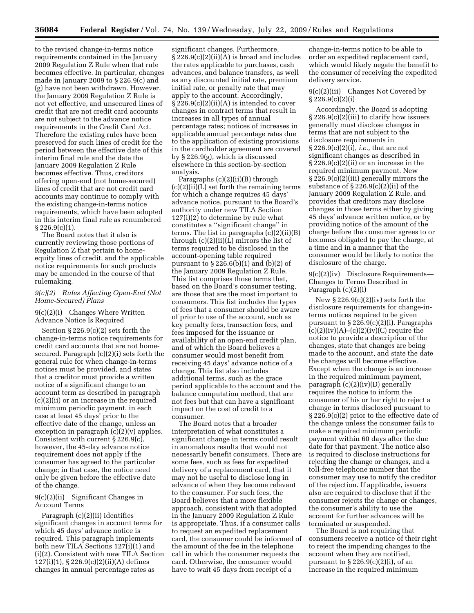to the revised change-in-terms notice requirements contained in the January 2009 Regulation Z Rule when that rule becomes effective. In particular, changes made in January 2009 to § 226.9(c) and (g) have not been withdrawn. However, the January 2009 Regulation Z Rule is not yet effective, and unsecured lines of credit that are not credit card accounts are not subject to the advance notice requirements in the Credit Card Act. Therefore the existing rules have been preserved for such lines of credit for the period between the effective date of this interim final rule and the date the January 2009 Regulation Z Rule becomes effective. Thus, creditors offering open-end (not home-secured) lines of credit that are not credit card accounts may continue to comply with the existing change-in-terms notice requirements, which have been adopted in this interim final rule as renumbered § 226.9(c)(1).

The Board notes that it also is currently reviewing those portions of Regulation Z that pertain to homeequity lines of credit, and the applicable notice requirements for such products may be amended in the course of that rulemaking.

## *9(c)(2) Rules Affecting Open-End (Not Home-Secured) Plans*

## 9(c)(2)(i) Changes Where Written Advance Notice Is Required

Section § 226.9(c)(2) sets forth the change-in-terms notice requirements for credit card accounts that are not homesecured. Paragraph (c)(2)(i) sets forth the general rule for when change-in-terms notices must be provided, and states that a creditor must provide a written notice of a significant change to an account term as described in paragraph (c)(2)(ii) or an increase in the required minimum periodic payment, in each case at least 45 days' prior to the effective date of the change, unless an exception in paragraph  $(c)(2)(v)$  applies. Consistent with current § 226.9(c), however, the 45-day advance notice requirement does not apply if the consumer has agreed to the particular change; in that case, the notice need only be given before the effective date of the change.

# 9(c)(2)(ii) Significant Changes in Account Terms

Paragraph (c)(2)(ii) identifies significant changes in account terms for which 45 days' advance notice is required. This paragraph implements both new TILA Sections 127(i)(1) and (i)(2). Consistent with new TILA Section 127(i)(1), § 226.9(c)(2)(ii)(A) defines changes in annual percentage rates as

significant changes. Furthermore, § 226.9(c)(2)(ii)(A) is broad and includes the rates applicable to purchases, cash advances, and balance transfers, as well as any discounted initial rate, premium initial rate, or penalty rate that may apply to the account. Accordingly, § 226.9(c)(2)(ii)(A) is intended to cover changes in contract terms that result in increases in all types of annual percentage rates; notices of increases in applicable annual percentage rates due to the application of existing provisions in the cardholder agreement are covered by § 226.9(g), which is discussed elsewhere in this section-by-section analysis.

Paragraphs (c)(2)(ii)(B) through (c)(2)(ii)(L) set forth the remaining terms for which a change requires 45 days' advance notice, pursuant to the Board's authority under new TILA Section 127(i)(2) to determine by rule what constitutes a ''significant change'' in terms. The list in paragraphs  $(c)(2)(ii)(B)$ through (c)(2)(ii)(L) mirrors the list of terms required to be disclosed in the account-opening table required pursuant to  $\S 226.6(b)(1)$  and  $(b)(2)$  of the January 2009 Regulation Z Rule. This list comprises those terms that, based on the Board's consumer testing, are those that are the most important to consumers. This list includes the types of fees that a consumer should be aware of prior to use of the account, such as key penalty fees, transaction fees, and fees imposed for the issuance or availability of an open-end credit plan, and of which the Board believes a consumer would most benefit from receiving 45 days' advance notice of a change. This list also includes additional terms, such as the grace period applicable to the account and the balance computation method, that are not fees but that can have a significant impact on the cost of credit to a consumer.

The Board notes that a broader interpretation of what constitutes a significant change in terms could result in anomalous results that would not necessarily benefit consumers. There are some fees, such as fees for expedited delivery of a replacement card, that it may not be useful to disclose long in advance of when they become relevant to the consumer. For such fees, the Board believes that a more flexible approach, consistent with that adopted in the January 2009 Regulation Z Rule is appropriate. Thus, if a consumer calls to request an expedited replacement card, the consumer could be informed of the amount of the fee in the telephone call in which the consumer requests the card. Otherwise, the consumer would have to wait 45 days from receipt of a

change-in-terms notice to be able to order an expedited replacement card, which would likely negate the benefit to the consumer of receiving the expedited delivery service.

9(c)(2)(iii) Changes Not Covered by  $\S 226.9(c)(2)(i)$ 

Accordingly, the Board is adopting § 226.9(c)(2)(iii) to clarify how issuers generally must disclose changes in terms that are not subject to the disclosure requirements in § 226.9(c)(2)(i), *i.e.,* that are not significant changes as described in § 226.9(c)(2)(ii) or an increase in the required minimum payment. New § 226.9(c)(2)(iii) generally mirrors the substance of  $\S 226.9(c)(2)(ii)$  of the January 2009 Regulation Z Rule, and provides that creditors may disclose changes in those terms either by giving 45 days' advance written notice, or by providing notice of the amount of the charge before the consumer agrees to or becomes obligated to pay the charge, at a time and in a manner that the consumer would be likely to notice the disclosure of the charge.

9(c)(2)(iv) Disclosure Requirements— Changes to Terms Described in Paragraph (c)(2)(i)

New § 226.9(c)(2)(iv) sets forth the disclosure requirements for change-interms notices required to be given pursuant to  $\S 226.9(c)(2)(i)$ . Paragraphs  $(c)(2)(iv)(A)$ – $(c)(2)(iv)(C)$  require the notice to provide a description of the changes, state that changes are being made to the account, and state the date the changes will become effective. Except when the change is an increase in the required minimum payment, paragraph (c)(2)(iv)(D) generally requires the notice to inform the consumer of his or her right to reject a change in terms disclosed pursuant to § 226.9(c)(2) prior to the effective date of the change unless the consumer fails to make a required minimum periodic payment within 60 days after the due date for that payment. The notice also is required to disclose instructions for rejecting the change or changes, and a toll-free telephone number that the consumer may use to notify the creditor of the rejection. If applicable, issuers also are required to disclose that if the consumer rejects the change or changes, the consumer's ability to use the account for further advances will be terminated or suspended.

The Board is not requiring that consumers receive a notice of their right to reject the impending changes to the account when they are notified, pursuant to  $\S 226.9(c)(2)(i)$ , of an increase in the required minimum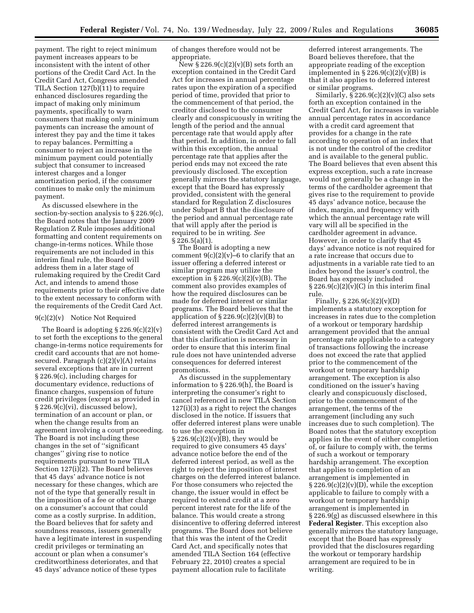payment. The right to reject minimum payment increases appears to be inconsistent with the intent of other portions of the Credit Card Act. In the Credit Card Act, Congress amended TILA Section 127(b)(11) to require enhanced disclosures regarding the impact of making only minimum payments, specifically to warn consumers that making only minimum payments can increase the amount of interest they pay and the time it takes to repay balances. Permitting a consumer to reject an increase in the minimum payment could potentially subject that consumer to increased interest charges and a longer amortization period, if the consumer continues to make only the minimum payment.

As discussed elsewhere in the section-by-section analysis to § 226.9(c), the Board notes that the January 2009 Regulation Z Rule imposes additional formatting and content requirements on change-in-terms notices. While those requirements are not included in this interim final rule, the Board will address them in a later stage of rulemaking required by the Credit Card Act, and intends to amend those requirements prior to their effective date to the extent necessary to conform with the requirements of the Credit Card Act.

#### 9(c)(2)(v) Notice Not Required

The Board is adopting § 226.9(c)(2)(v) to set forth the exceptions to the general change-in-terms notice requirements for credit card accounts that are not homesecured. Paragraph  $(c)(2)(v)(A)$  retains several exceptions that are in current § 226.9(c), including charges for documentary evidence, reductions of finance charges, suspension of future credit privileges (except as provided in § 226.9(c)(vi), discussed below), termination of an account or plan, or when the change results from an agreement involving a court proceeding. The Board is not including these changes in the set of ''significant changes'' giving rise to notice requirements pursuant to new TILA Section 127(i)(2). The Board believes that 45 days' advance notice is not necessary for these changes, which are not of the type that generally result in the imposition of a fee or other charge on a consumer's account that could come as a costly surprise. In addition, the Board believes that for safety and soundness reasons, issuers generally have a legitimate interest in suspending credit privileges or terminating an account or plan when a consumer's creditworthiness deteriorates, and that 45 days' advance notice of these types

of changes therefore would not be appropriate.

 $\text{New } \S$  226.9(c)(2)(v)(B) sets forth an exception contained in the Credit Card Act for increases in annual percentage rates upon the expiration of a specified period of time, provided that prior to the commencement of that period, the creditor disclosed to the consumer clearly and conspicuously in writing the length of the period and the annual percentage rate that would apply after that period. In addition, in order to fall within this exception, the annual percentage rate that applies after the period ends may not exceed the rate previously disclosed. The exception generally mirrors the statutory language, except that the Board has expressly provided, consistent with the general standard for Regulation Z disclosures under Subpart B that the disclosure of the period and annual percentage rate that will apply after the period is required to be in writing. *See*  § 226.5(a)(1).

The Board is adopting a new comment  $9(c)(2)(v)$ –6 to clarify that an issuer offering a deferred interest or similar program may utilize the exception in  $\S 226.9(c)(2)(v)(B)$ . The comment also provides examples of how the required disclosures can be made for deferred interest or similar programs. The Board believes that the application of  $\S 226.9(c)(2)(v)(B)$  to deferred interest arrangements is consistent with the Credit Card Act and that this clarification is necessary in order to ensure that this interim final rule does not have unintended adverse consequences for deferred interest promotions.

As discussed in the supplementary information to § 226.9(h), the Board is interpreting the consumer's right to cancel referenced in new TILA Section 127(i)(3) as a right to reject the changes disclosed in the notice. If issuers that offer deferred interest plans were unable to use the exception in  $\S 226.9(c)(2)(v)(B)$ , they would be required to give consumers 45 days' advance notice before the end of the deferred interest period, as well as the right to reject the imposition of interest charges on the deferred interest balance. For those consumers who rejected the change, the issuer would in effect be required to extend credit at a zero percent interest rate for the life of the balance. This would create a strong disincentive to offering deferred interest programs. The Board does not believe that this was the intent of the Credit Card Act, and specifically notes that amended TILA Section 164 (effective February 22, 2010) creates a special payment allocation rule to facilitate

deferred interest arrangements. The Board believes therefore, that the appropriate reading of the exception implemented in  $\S 226.9(c)(2)(v)(B)$  is that it also applies to deferred interest or similar programs.

Similarly,  $\S 226.9(c)(2)(v)(C)$  also sets forth an exception contained in the Credit Card Act, for increases in variable annual percentage rates in accordance with a credit card agreement that provides for a change in the rate according to operation of an index that is not under the control of the creditor and is available to the general public. The Board believes that even absent this express exception, such a rate increase would not generally be a change in the terms of the cardholder agreement that gives rise to the requirement to provide 45 days' advance notice, because the index, margin, and frequency with which the annual percentage rate will vary will all be specified in the cardholder agreement in advance. However, in order to clarify that 45 days' advance notice is not required for a rate increase that occurs due to adjustments in a variable rate tied to an index beyond the issuer's control, the Board has expressly included  $\S 226.9(c)(2)(v)(C)$  in this interim final rule.

Finally, § 226.9(c)(2)(v)(D) implements a statutory exception for increases in rates due to the completion of a workout or temporary hardship arrangement provided that the annual percentage rate applicable to a category of transactions following the increase does not exceed the rate that applied prior to the commencement of the workout or temporary hardship arrangement. The exception is also conditioned on the issuer's having clearly and conspicuously disclosed, prior to the commencement of the arrangement, the terms of the arrangement (including any such increases due to such completion). The Board notes that the statutory exception applies in the event of either completion of, or failure to comply with, the terms of such a workout or temporary hardship arrangement. The exception that applies to completion of an arrangement is implemented in  $\S 226.9(c)(2)(v)(D)$ , while the exception applicable to failure to comply with a workout or temporary hardship arrangement is implemented in § 226.9(g) as discussed elsewhere in this **Federal Register**. This exception also generally mirrors the statutory language, except that the Board has expressly provided that the disclosures regarding the workout or temporary hardship arrangement are required to be in writing.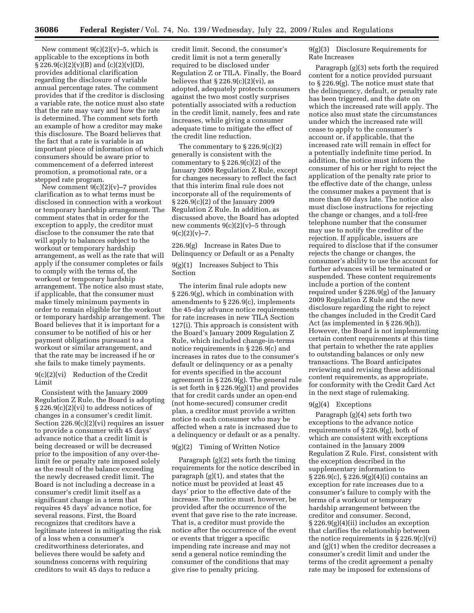New comment  $9(c)(2)(v)-5$ , which is applicable to the exceptions in both  $\S 226.9(c)(2)(v)(B)$  and  $(c)(2)(v)(D)$ , provides additional clarification regarding the disclosure of variable annual percentage rates. The comment provides that if the creditor is disclosing a variable rate, the notice must also state that the rate may vary and how the rate is determined. The comment sets forth an example of how a creditor may make this disclosure. The Board believes that the fact that a rate is variable is an important piece of information of which consumers should be aware prior to commencement of a deferred interest promotion, a promotional rate, or a stepped rate program.

New comment  $9(c)(2)(v)$ –7 provides clarification as to what terms must be disclosed in connection with a workout or temporary hardship arrangement. The comment states that in order for the exception to apply, the creditor must disclose to the consumer the rate that will apply to balances subject to the workout or temporary hardship arrangement, as well as the rate that will apply if the consumer completes or fails to comply with the terms of, the workout or temporary hardship arrangement. The notice also must state, if applicable, that the consumer must make timely minimum payments in order to remain eligible for the workout or temporary hardship arrangement. The Board believes that it is important for a consumer to be notified of his or her payment obligations pursuant to a workout or similar arrangement, and that the rate may be increased if he or she fails to make timely payments.

9(c)(2)(vi) Reduction of the Credit Limit

Consistent with the January 2009 Regulation Z Rule, the Board is adopting § 226.9(c)(2)(vi) to address notices of changes in a consumer's credit limit. Section 226.9(c)(2)(vi) requires an issuer to provide a consumer with 45 days' advance notice that a credit limit is being decreased or will be decreased prior to the imposition of any over-thelimit fee or penalty rate imposed solely as the result of the balance exceeding the newly decreased credit limit. The Board is not including a decrease in a consumer's credit limit itself as a significant change in a term that requires 45 days' advance notice, for several reasons. First, the Board recognizes that creditors have a legitimate interest in mitigating the risk of a loss when a consumer's creditworthiness deteriorates, and believes there would be safety and soundness concerns with requiring creditors to wait 45 days to reduce a

credit limit. Second, the consumer's credit limit is not a term generally required to be disclosed under Regulation Z or TILA. Finally, the Board believes that  $\S 226.9(c)(2)(vi)$ , as adopted, adequately protects consumers against the two most costly surprises potentially associated with a reduction in the credit limit, namely, fees and rate increases, while giving a consumer adequate time to mitigate the effect of the credit line reduction.

The commentary to § 226.9(c)(2) generally is consistent with the commentary to § 226.9(c)(2) of the January 2009 Regulation Z Rule, except for changes necessary to reflect the fact that this interim final rule does not incorporate all of the requirements of § 226.9(c)(2) of the January 2009 Regulation Z Rule. In addition, as discussed above, the Board has adopted new comments 9(c)(2)(v)–5 through  $9(c)(2)(v) - 7.$ 

226.9(g) Increase in Rates Due to Delinquency or Default or as a Penalty

9(g)(1) Increases Subject to This Section

The interim final rule adopts new § 226.9(g), which in combination with amendments to § 226.9(c), implements the 45-day advance notice requirements for rate increases in new TILA Section 127(i). This approach is consistent with the Board's January 2009 Regulation Z Rule, which included change-in-terms notice requirements in § 226.9(c) and increases in rates due to the consumer's default or delinquency or as a penalty for events specified in the account agreement in § 226.9(g). The general rule is set forth in § 226.9(g)(1) and provides that for credit cards under an open-end (not home-secured) consumer credit plan, a creditor must provide a written notice to each consumer who may be affected when a rate is increased due to a delinquency or default or as a penalty.

#### 9(g)(2) Timing of Written Notice

Paragraph (g)(2) sets forth the timing requirements for the notice described in paragraph (g)(1), and states that the notice must be provided at least 45 days' prior to the effective date of the increase. The notice must, however, be provided after the occurrence of the event that gave rise to the rate increase. That is, a creditor must provide the notice after the occurrence of the event or events that trigger a specific impending rate increase and may not send a general notice reminding the consumer of the conditions that may give rise to penalty pricing.

9(g)(3) Disclosure Requirements for Rate Increases

Paragraph (g)(3) sets forth the required content for a notice provided pursuant to § 226.9(g). The notice must state that the delinquency, default, or penalty rate has been triggered, and the date on which the increased rate will apply. The notice also must state the circumstances under which the increased rate will cease to apply to the consumer's account or, if applicable, that the increased rate will remain in effect for a potentially indefinite time period. In addition, the notice must inform the consumer of his or her right to reject the application of the penalty rate prior to the effective date of the change, unless the consumer makes a payment that is more than 60 days late. The notice also must disclose instructions for rejecting the change or changes, and a toll-free telephone number that the consumer may use to notify the creditor of the rejection. If applicable, issuers are required to disclose that if the consumer rejects the change or changes, the consumer's ability to use the account for further advances will be terminated or suspended. These content requirements include a portion of the content required under § 226.9(g) of the January 2009 Regulation Z Rule and the new disclosure regarding the right to reject the changes included in the Credit Card Act (as implemented in § 226.9(h)). However, the Board is not implementing certain content requirements at this time that pertain to whether the rate applies to outstanding balances or only new transactions. The Board anticipates reviewing and revising these additional content requirements, as appropriate, for conformity with the Credit Card Act in the next stage of rulemaking.

#### 9(g)(4) Exceptions

Paragraph (g)(4) sets forth two exceptions to the advance notice requirements of § 226.9(g), both of which are consistent with exceptions contained in the January 2009 Regulation Z Rule. First, consistent with the exception described in the supplementary information to § 226.9(c), § 226.9(g)(4)(i) contains an exception for rate increases due to a consumer's failure to comply with the terms of a workout or temporary hardship arrangement between the creditor and consumer. Second, § 226.9(g)(4)(ii) includes an exception that clarifies the relationship between the notice requirements in § 226.9(c)(vi) and (g)(1) when the creditor decreases a consumer's credit limit and under the terms of the credit agreement a penalty rate may be imposed for extensions of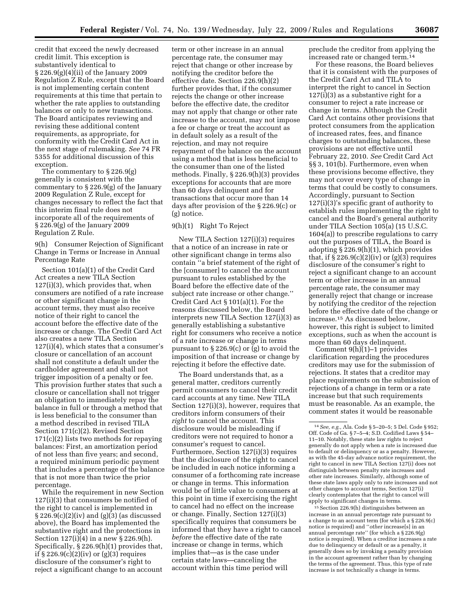credit that exceed the newly decreased credit limit. This exception is substantively identical to § 226.9(g)(4)(ii) of the January 2009 Regulation Z Rule, except that the Board is not implementing certain content requirements at this time that pertain to whether the rate applies to outstanding balances or only to new transactions. The Board anticipates reviewing and revising these additional content requirements, as appropriate, for conformity with the Credit Card Act in the next stage of rulemaking. *See* 74 FR 5355 for additional discussion of this exception.

The commentary to § 226.9(g) generally is consistent with the commentary to § 226.9(g) of the January 2009 Regulation Z Rule, except for changes necessary to reflect the fact that this interim final rule does not incorporate all of the requirements of § 226.9(g) of the January 2009 Regulation Z Rule.

9(h) Consumer Rejection of Significant Change in Terms or Increase in Annual Percentage Rate

Section 101(a)(1) of the Credit Card Act creates a new TILA Section 127(i)(3), which provides that, when consumers are notified of a rate increase or other significant change in the account terms, they must also receive notice of their right to cancel the account before the effective date of the increase or change. The Credit Card Act also creates a new TILA Section 127(i)(4), which states that a consumer's closure or cancellation of an account shall not constitute a default under the cardholder agreement and shall not trigger imposition of a penalty or fee. This provision further states that such a closure or cancellation shall not trigger an obligation to immediately repay the balance in full or through a method that is less beneficial to the consumer than a method described in revised TILA Section 171(c)(2). Revised Section 171(c)(2) lists two methods for repaying balances: First, an amortization period of not less than five years; and second, a required minimum periodic payment that includes a percentage of the balance that is not more than twice the prior percentage.

While the requirement in new Section 127(i)(3) that consumers be notified of the right to cancel is implemented in  $\S 226.9(c)(2)(iv)$  and  $(g)(3)$  (as discussed above), the Board has implemented the substantive right and the protections in Section 127(i)(4) in a new § 226.9(h). Specifically, § 226.9(h)(1) provides that, if  $\S 226.9(c)(2)(iv)$  or  $(g)(3)$  requires disclosure of the consumer's right to reject a significant change to an account

term or other increase in an annual percentage rate, the consumer may reject that change or other increase by notifying the creditor before the effective date. Section 226.9(h)(2) further provides that, if the consumer rejects the change or other increase before the effective date, the creditor may not apply that change or other rate increase to the account, may not impose a fee or charge or treat the account as in default solely as a result of the rejection, and may not require repayment of the balance on the account using a method that is less beneficial to the consumer than one of the listed methods. Finally, § 226.9(h)(3) provides exceptions for accounts that are more than 60 days delinquent and for transactions that occur more than 14 days after provision of the § 226.9(c) or (g) notice.

#### 9(h)(1) Right To Reject

New TILA Section 127(i)(3) requires that a notice of an increase in rate or other significant change in terms also contain ''a brief statement of the right of the [consumer] to cancel the account pursuant to rules established by the Board before the effective date of the subject rate increase or other change.'' Credit Card Act § 101(a)(1). For the reasons discussed below, the Board interprets new TILA Section 127(i)(3) as generally establishing a substantive right for consumers who receive a notice of a rate increase or change in terms pursuant to § 226.9(c) or (g) to avoid the imposition of that increase or change by rejecting it before the effective date.

The Board understands that, as a general matter, creditors currently permit consumers to cancel their credit card accounts at any time. New TILA Section 127(i)(3), however, requires that creditors inform consumers of their *right* to cancel the account. This disclosure would be misleading if creditors were not required to honor a consumer's request to cancel. Furthermore, Section 127(i)(3) requires that the disclosure of the right to cancel be included in each notice informing a consumer of a forthcoming rate increase or change in terms. This information would be of little value to consumers at this point in time if exercising the right to cancel had no effect on the increase or change. Finally, Section 127(i)(3) specifically requires that consumers be informed that they have a right to cancel *before* the effective date of the rate increase or change in terms, which implies that—as is the case under certain state laws—canceling the account within this time period will

preclude the creditor from applying the increased rate or changed term.14

For these reasons, the Board believes that it is consistent with the purposes of the Credit Card Act and TILA to interpret the right to cancel in Section 127(i)(3) as a substantive right for a consumer to reject a rate increase or change in terms. Although the Credit Card Act contains other provisions that protect consumers from the application of increased rates, fees, and finance charges to outstanding balances, these provisions are not effective until February 22, 2010. *See* Credit Card Act §§ 3, 101(b). Furthermore, even when these provisions become effective, they may not cover every type of change in terms that could be costly to consumers. Accordingly, pursuant to Section 127(i)(3)'s specific grant of authority to establish rules implementing the right to cancel and the Board's general authority under TILA Section 105(a) (15 U.S.C. 1604(a)) to prescribe regulations to carry out the purposes of TILA, the Board is adopting § 226.9(h)(1), which provides that, if  $\S 226.9(c)(2)(iv)$  or  $(g)(3)$  requires disclosure of the consumer's right to reject a significant change to an account term or other increase in an annual percentage rate, the consumer may generally reject that change or increase by notifying the creditor of the rejection before the effective date of the change or increase.15 As discussed below, however, this right is subject to limited exceptions, such as when the account is more than 60 days delinquent.

Comment 9(h)(1)–1 provides clarification regarding the procedures creditors may use for the submission of rejections. It states that a creditor may place requirements on the submission of rejections of a change in term or a rate increase but that such requirements must be reasonable. As an example, the comment states it would be reasonable

15Section 226.9(h) distinguishes between an increase in an annual percentage rate pursuant to a change to an account term (for which a § 226.9(c) notice is required) and ''*other* increase[s] in an annual percentage rate'' (for which a § 226.9(g) notice is required). When a creditor increases a rate due to delinquency or default or as a penalty, it generally does so by invoking a penalty provision in the account agreement rather than by changing the terms of the agreement. Thus, this type of rate increase is not technically a change in terms.

<sup>14</sup>*See, e.g.,* Ala. Code § 5–20–5; 5 Del. Code § 952; Off. Code of Ga. § 7–5–4; S.D. Codified Laws § 54– 11–10. Notably, these state law rights to reject generally do not apply when a rate is increased due to default or delinquency or as a penalty. However, as with the 45-day advance notice requirement, the right to cancel in new TILA Section 127(i) does not distinguish between penalty rate increases and other rate increases. Similarly, although some of these state laws apply only to rate increases and not other changes to account terms, Section 127(i) clearly contemplates that the right to cancel will apply to significant changes in terms.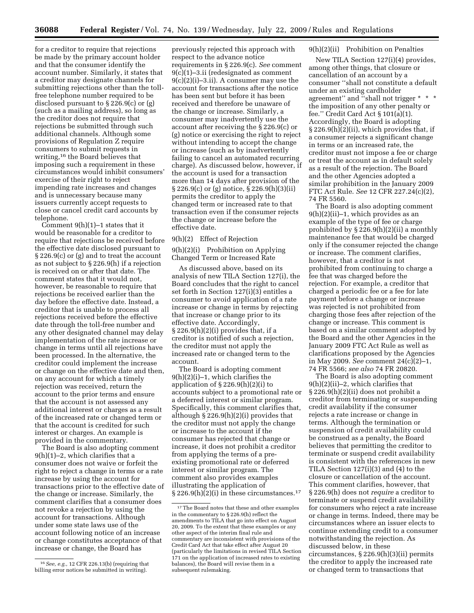for a creditor to require that rejections be made by the primary account holder and that the consumer identify the account number. Similarly, it states that a creditor may designate channels for submitting rejections other than the tollfree telephone number required to be disclosed pursuant to § 226.9(c) or (g) (such as a mailing address), so long as the creditor does not require that rejections be submitted through such additional channels. Although some provisions of Regulation Z require consumers to submit requests in writing,16 the Board believes that imposing such a requirement in these circumstances would inhibit consumers' exercise of their right to reject impending rate increases and changes and is unnecessary because many issuers currently accept requests to close or cancel credit card accounts by telephone.

Comment 9(h)(1)–1 states that it would be reasonable for a creditor to require that rejections be received before the effective date disclosed pursuant to § 226.9(c) or (g) and to treat the account as not subject to § 226.9(h) if a rejection is received on or after that date. The comment states that it would not, however, be reasonable to require that rejections be received earlier than the day before the effective date. Instead, a creditor that is unable to process all rejections received before the effective date through the toll-free number and any other designated channel may delay implementation of the rate increase or change in terms until all rejections have been processed. In the alternative, the creditor could implement the increase or change on the effective date and then, on any account for which a timely rejection was received, return the account to the prior terms and ensure that the account is not assessed any additional interest or charges as a result of the increased rate or changed term or that the account is credited for such interest or charges. An example is provided in the commentary.

The Board is also adopting comment 9(h)(1)–2, which clarifies that a consumer does not waive or forfeit the right to reject a change in terms or a rate increase by using the account for transactions prior to the effective date of the change or increase. Similarly, the comment clarifies that a consumer does not revoke a rejection by using the account for transactions. Although under some state laws use of the account following notice of an increase or change constitutes acceptance of that increase or change, the Board has

previously rejected this approach with respect to the advance notice requirements in § 226.9(c). *See* comment 9(c)(1)–3.ii (redesignated as comment 9(c)(2)(i)–3.ii). A consumer may use the account for transactions after the notice has been sent but before it has been received and therefore be unaware of the change or increase. Similarly, a consumer may inadvertently use the account after receiving the § 226.9(c) or (g) notice or exercising the right to reject without intending to accept the change or increase (such as by inadvertently failing to cancel an automated recurring charge). As discussed below, however, if the account is used for a transaction more than 14 days after provision of the § 226.9(c) or (g) notice, § 226.9(h)(3)(ii) permits the creditor to apply the changed term or increased rate to that transaction even if the consumer rejects the change or increase before the effective date.

# 9(h)(2) Effect of Rejection

9(h)(2)(i) Prohibition on Applying Changed Term or Increased Rate

As discussed above, based on its analysis of new TILA Section 127(i), the Board concludes that the right to cancel set forth in Section 127(i)(3) entitles a consumer to avoid application of a rate increase or change in terms by rejecting that increase or change prior to its effective date. Accordingly,  $\S 226.9(h)(2)(i)$  provides that, if a creditor is notified of such a rejection, the creditor must not apply the increased rate or changed term to the account.

The Board is adopting comment 9(h)(2)(i)–1, which clarifies the application of § 226.9(h)(2)(i) to accounts subject to a promotional rate or a deferred interest or similar program. Specifically, this comment clarifies that, although § 226.9(h)(2)(i) provides that the creditor must not apply the change or increase to the account if the consumer has rejected that change or increase, it does not prohibit a creditor from applying the terms of a preexisting promotional rate or deferred interest or similar program. The comment also provides examples illustrating the application of  $\S 226.9(h)(2)(i)$  in these circumstances.<sup>17</sup>

# 9(h)(2)(ii) Prohibition on Penalties

New TILA Section 127(i)(4) provides, among other things, that closure or cancellation of an account by a consumer ''shall not constitute a default under an existing cardholder agreement'' and ''shall not trigger \* \* \* the imposition of any other penalty or fee.'' Credit Card Act § 101(a)(1). Accordingly, the Board is adopting § 226.9(h)(2)(ii), which provides that, if a consumer rejects a significant change in terms or an increased rate, the creditor must not impose a fee or charge or treat the account as in default solely as a result of the rejection. The Board and the other Agencies adopted a similar prohibition in the January 2009 FTC Act Rule. *See* 12 CFR 227.24(c)(2), 74 FR 5560.

The Board is also adopting comment 9(h)(2)(ii)–1, which provides as an example of the type of fee or charge prohibited by § 226.9(h)(2)(ii) a monthly maintenance fee that would be charged only if the consumer rejected the change or increase. The comment clarifies, however, that a creditor is not prohibited from continuing to charge a fee that was charged before the rejection. For example, a creditor that charged a periodic fee or a fee for late payment before a change or increase was rejected is not prohibited from charging those fees after rejection of the change or increase. This comment is based on a similar comment adopted by the Board and the other Agencies in the January 2009 FTC Act Rule as well as clarifications proposed by the Agencies in May 2009. *See* comment 24(c)(2)–1, 74 FR 5566; *see also* 74 FR 20820.

The Board is also adopting comment 9(h)(2)(ii)–2, which clarifies that § 226.9(h)(2)(ii) does not prohibit a creditor from terminating or suspending credit availability if the consumer rejects a rate increase or change in terms. Although the termination or suspension of credit availability could be construed as a penalty, the Board believes that permitting the creditor to terminate or suspend credit availability is consistent with the references in new TILA Section 127(i)(3) and (4) to the closure or cancellation of the account. This comment clarifies, however, that § 226.9(h) does not *require* a creditor to terminate or suspend credit availability for consumers who reject a rate increase or change in terms. Indeed, there may be circumstances where an issuer elects to continue extending credit to a consumer notwithstanding the rejection. As discussed below, in these circumstances, § 226.9(h)(3)(ii) permits the creditor to apply the increased rate or changed term to transactions that

<sup>16</sup>*See, e.g.,* 12 CFR 226.13(b) (requiring that billing error notices be submitted in writing).

<sup>&</sup>lt;sup>17</sup>The Board notes that these and other examples in the commentary to § 226.9(h) reflect the amendments to TILA that go into effect on August 20, 2009. To the extent that these examples or any other aspect of the interim final rule and commentary are inconsistent with provisions of the Credit Card Act that take effect after August 20 (particularly the limitations in revised TILA Section 171 on the application of increased rates to existing balances), the Board will revise them in a subsequent rulemaking.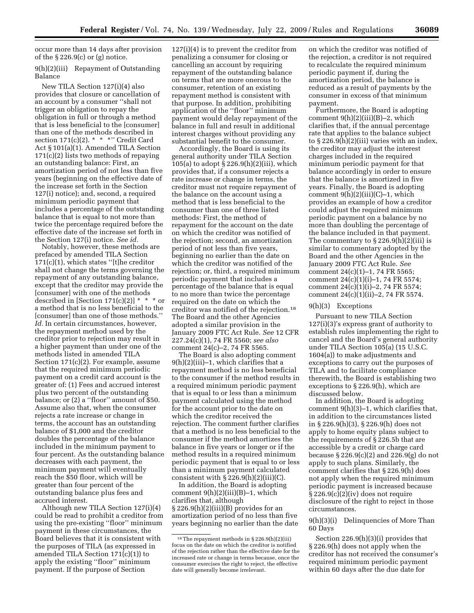occur more than 14 days after provision of the  $\S 226.9(c)$  or (g) notice.

# 9(h)(2)(iii) Repayment of Outstanding Balance

New TILA Section 127(i)(4) also provides that closure or cancellation of an account by a consumer ''shall not trigger an obligation to repay the obligation in full or through a method that is less beneficial to the [consumer] than one of the methods described in section  $171(c)(2)$ . \* \* \*" Credit Card Act § 101(a)(1). Amended TILA Section 171(c)(2) lists two methods of repaying an outstanding balance: First, an amortization period of not less than five years (beginning on the effective date of the increase set forth in the Section 127(i) notice); and, second, a required minimum periodic payment that includes a percentage of the outstanding balance that is equal to not more than twice the percentage required before the effective date of the increase set forth in the Section 127(i) notice. *See id.* 

Notably, however, these methods are prefaced by amended TILA Section 171(c)(1), which states ''[t]he creditor shall not change the terms governing the repayment of any outstanding balance, except that the creditor may provide the [consumer] with one of the methods described in [Section 171(c)(2)]  $* * *$  or a method that is no less beneficial to the [consumer] than one of those methods.'' *Id.* In certain circumstances, however, the repayment method used by the creditor prior to rejection may result in a higher payment than under one of the methods listed in amended TILA Section 171(c)(2). For example, assume that the required minimum periodic payment on a credit card account is the greater of: (1) Fees and accrued interest plus two percent of the outstanding balance; or (2) a ''floor'' amount of \$50. Assume also that, when the consumer rejects a rate increase or change in terms, the account has an outstanding balance of \$1,000 and the creditor doubles the percentage of the balance included in the minimum payment to four percent. As the outstanding balance decreases with each payment, the minimum payment will eventually reach the \$50 floor, which will be greater than four percent of the outstanding balance plus fees and accrued interest.

Although new TILA Section 127(i)(4) could be read to prohibit a creditor from using the pre-existing ''floor'' minimum payment in these circumstances, the Board believes that it is consistent with the purposes of TILA (as expressed in amended TILA Section 171(c)(1)) to apply the existing ''floor'' minimum payment. If the purpose of Section

127(i)(4) is to prevent the creditor from penalizing a consumer for closing or cancelling an account by requiring repayment of the outstanding balance on terms that are more onerous to the consumer, retention of an existing repayment method is consistent with that purpose. In addition, prohibiting application of the ''floor'' minimum payment would delay repayment of the balance in full and result in additional interest charges without providing any substantial benefit to the consumer.

Accordingly, the Board is using its general authority under TILA Section 105(a) to adopt  $\S 226.9(h)(2)(iii)$ , which provides that, if a consumer rejects a rate increase or change in terms, the creditor must not require repayment of the balance on the account using a method that is less beneficial to the consumer than one of three listed methods: First, the method of repayment for the account on the date on which the creditor was notified of the rejection; second, an amortization period of not less than five years, beginning no earlier than the date on which the creditor was notified of the rejection; or, third, a required minimum periodic payment that includes a percentage of the balance that is equal to no more than twice the percentage required on the date on which the creditor was notified of the rejection.18 The Board and the other Agencies adopted a similar provision in the January 2009 FTC Act Rule. *See* 12 CFR 227.24(c)(1), 74 FR 5560; *see also*  comment 24(c)–2, 74 FR 5565.

The Board is also adopting comment 9(h)(2)(iii)–1, which clarifies that a repayment method is no less beneficial to the consumer if the method results in a required minimum periodic payment that is equal to or less than a minimum payment calculated using the method for the account prior to the date on which the creditor received the rejection. The comment further clarifies that a method is no less beneficial to the consumer if the method amortizes the balance in five years or longer or if the method results in a required minimum periodic payment that is equal to or less than a minimum payment calculated consistent with  $\S 226.9(h)(2)(iii)(C)$ .

In addition, the Board is adopting comment 9(h)(2)(iii)(B)–1, which clarifies that, although  $\S 226.9(h)(2)(iii)(B)$  provides for an amortization period of no less than five years beginning no earlier than the date

on which the creditor was notified of the rejection, a creditor is not required to recalculate the required minimum periodic payment if, during the amortization period, the balance is reduced as a result of payments by the consumer in excess of that minimum payment.

Furthermore, the Board is adopting comment  $9(h)(2)(iii)(B)-2$ , which clarifies that, if the annual percentage rate that applies to the balance subject to  $\S 226.9(h)(2)(iii)$  varies with an index, the creditor may adjust the interest charges included in the required minimum periodic payment for that balance accordingly in order to ensure that the balance is amortized in five years. Finally, the Board is adopting comment  $9(h)(2)(iii)(C)-1$ , which provides an example of how a creditor could adjust the required minimum periodic payment on a balance by no more than doubling the percentage of the balance included in that payment. The commentary to  $\S 226.9(h)(2)(iii)$  is similar to commentary adopted by the Board and the other Agencies in the January 2009 FTC Act Rule. *See*  comment 24(c)(1)–1, 74 FR 5565; comment 24(c)(1)(i)–1, 74 FR 5574; comment 24(c)(1)(i)–2, 74 FR 5574; comment 24(c)(1)(ii)–2, 74 FR 5574.

#### 9(h)(3) Exceptions

Pursuant to new TILA Section 127(i)(3)'s express grant of authority to establish rules implementing the right to cancel and the Board's general authority under TILA Section 105(a) (15 U.S.C. 1604(a)) to make adjustments and exceptions to carry out the purposes of TILA and to facilitate compliance therewith, the Board is establishing two exceptions to § 226.9(h), which are discussed below.

In addition, the Board is adopting comment 9(h)(3)–1, which clarifies that, in addition to the circumstances listed in § 226.9(h)(3), § 226.9(h) does not apply to home equity plans subject to the requirements of § 226.5b that are accessible by a credit or charge card because § 226.9(c)(2) and 226.9(g) do not apply to such plans. Similarly, the comment clarifies that § 226.9(h) does not apply when the required minimum periodic payment is increased because § 226.9(c)(2)(iv) does not require disclosure of the right to reject in those circumstances.

## 9(h)(3)(i) Delinquencies of More Than 60 Days

Section 226.9(h)(3)(i) provides that § 226.9(h) does not apply when the creditor has not received the consumer's required minimum periodic payment within 60 days after the due date for

<sup>18</sup>The repayment methods in § 226.9(h)(2)(iii) focus on the date on which the creditor is notified of the rejection rather than the effective date for the increased rate or change in terms because, once the consumer exercises the right to reject, the effective date will generally become irrelevant.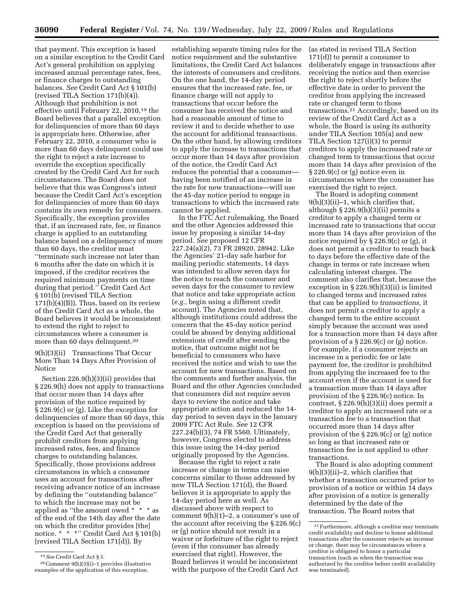that payment. This exception is based on a similar exception to the Credit Card Act's general prohibition on applying increased annual percentage rates, fees, or finance charges to outstanding balances. *See* Credit Card Act § 101(b) (revised TILA Section 171(b)(4)). Although that prohibition is not effective until February 22, 2010,19 the Board believes that a parallel exception for delinquencies of more than 60 days is appropriate here. Otherwise, after February 22, 2010, a consumer who is more than 60 days delinquent could use the right to reject a rate increase to override the exception specifically created by the Credit Card Act for such circumstances. The Board does not believe that this was Congress's intent because the Credit Card Act's exception for delinquencies of more than 60 days contains its own remedy for consumers. Specifically, the exception provides that, if an increased rate, fee, or finance charge is applied to an outstanding balance based on a delinquency of more than 60 days, the creditor must ''terminate such increase not later than 6 months after the date on which it is imposed, if the creditor receives the required minimum payments on time during that period.'' Credit Card Act § 101(b) (revised TILA Section  $171(b)(4)(B)$ . Thus, based on its review of the Credit Card Act as a whole, the Board believes it would be inconsistent to extend the right to reject to circumstances where a consumer is more than 60 days delinquent.20

9(h)(3)(ii) Transactions That Occur More Than 14 Days After Provision of Notice

Section 226.9(h)(3)(ii) provides that § 226.9(h) does not apply to transactions that occur more than 14 days after provision of the notice required by § 226.9(c) or (g). Like the exception for delinquencies of more than 60 days, this exception is based on the provisions of the Credit Card Act that generally prohibit creditors from applying increased rates, fees, and finance charges to outstanding balances. Specifically, those provisions address circumstances in which a consumer uses an account for transactions after receiving advance notice of an increase by defining the ''outstanding balance'' to which the increase may not be applied as ''the amount owed \* \* \* as of the end of the 14th day after the date on which the creditor provides [the] notice. \* \* \*'' Credit Card Act § 101(b) (revised TILA Section 171(d)). By

establishing separate timing rules for the notice requirement and the substantive limitations, the Credit Card Act balances the interests of consumers and creditors. On the one hand, the 14-day period ensures that the increased rate, fee, or finance charge will not apply to transactions that occur before the consumer has received the notice and had a reasonable amount of time to review it and to decide whether to use the account for additional transactions. On the other hand, by allowing creditors to apply the increase to transactions that occur more than 14 days after provision of the notice, the Credit Card Act reduces the potential that a consumer having been notified of an increase in the rate for new transactions—will use the 45-day notice period to engage in transactions to which the increased rate cannot be applied.

In the FTC Act rulemaking, the Board and the other Agencies addressed this issue by proposing a similar 14-day period. *See* proposed 12 CFR 227.24(a)(2), 73 FR 28920, 28942. Like the Agencies' 21-day safe harbor for mailing periodic statements, 14 days was intended to allow seven days for the notice to reach the consumer and seven days for the consumer to review that notice and take appropriate action (*e.g.,* begin using a different credit account). The Agencies noted that, although institutions could address the concern that the 45-day notice period could be abused by denying additional extensions of credit after sending the notice, that outcome might not be beneficial to consumers who have received the notice and wish to use the account for new transactions. Based on the comments and further analysis, the Board and the other Agencies concluded that consumers did not require seven days to review the notice and take appropriate action and reduced the 14 day period to seven days in the January 2009 FTC Act Rule. *See* 12 CFR 227.24(b)(3), 74 FR 5560. Ultimately, however, Congress elected to address this issue using the 14-day period originally proposed by the Agencies.

Because the right to reject a rate increase or change in terms can raise concerns similar to those addressed by new TILA Section 171(d), the Board believes it is appropriate to apply the 14-day period here as well. As discussed above with respect to comment 9(h)(1)–2, a consumer's use of the account after receiving the § 226.9(c) or (g) notice should not result in a waiver or forfeiture of the right to reject (even if the consumer has already exercised that right). However, the Board believes it would be inconsistent with the purpose of the Credit Card Act

(as stated in revised TILA Section 171(d)) to permit a consumer to deliberately engage in transactions after receiving the notice and then exercise the right to reject shortly before the effective date in order to prevent the creditor from applying the increased rate or changed term to those transactions.21 Accordingly, based on its review of the Credit Card Act as a whole, the Board is using its authority under TILA Section 105(a) and new TILA Section 127(i)(3) to permit creditors to apply the increased rate or changed term to transactions that occur more than 14 days after provision of the § 226.9(c) or (g) notice even in circumstances where the consumer has exercised the right to reject.

The Board is adopting comment 9(h)(3)(ii)–1, which clarifies that, although § 226.9(h)(3)(ii) permits a creditor to apply a changed term or increased rate to transactions that occur more than 14 days after provision of the notice required by § 226.9(c) or (g), it does not permit a creditor to reach back to days before the effective date of the change in terms or rate increase when calculating interest charges. The comment also clarifies that, because the exception in § 226.9(h)(3)(ii) is limited to changed terms and increased rates that can be applied to *transactions,* it does not permit a creditor to apply a changed term to the entire account simply because the account was used for a transaction more than 14 days after provision of a § 226.9(c) or (g) notice. For example, if a consumer rejects an increase in a periodic fee or late payment fee, the creditor is prohibited from applying the increased fee to the account even if the account is used for a transaction more than 14 days after provision of the § 226.9(c) notice. In contrast, § 226.9(h)(3)(ii) does permit a creditor to apply an increased rate or a transaction fee to a transaction that occurred more than 14 days after provision of the § 226.9(c) or (g) notice so long as that increased rate or transaction fee is not applied to other transactions.

The Board is also adopting comment 9(h)(3)(ii)–2, which clarifies that whether a transaction occurred prior to provision of a notice or within 14 days after provision of a notice is generally determined by the date of the transaction. The Board notes that

<sup>19</sup>*See* Credit Card Act § 3.

<sup>20</sup>Comment 9(h)(3)(i)–1 provides illustrative examples of the application of this exception.

<sup>21</sup>Furthermore, although a creditor may terminate credit availability and decline to honor additional transactions after the consumer rejects an increase or change, there may be circumstances where a creditor is obligated to honor a particular transaction (such as when the transaction was authorized by the creditor before credit availability was terminated).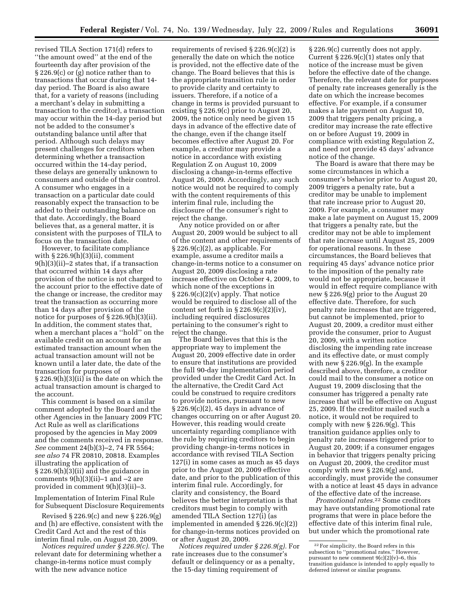revised TILA Section 171(d) refers to ''the amount owed'' at the end of the fourteenth day after provision of the § 226.9(c) or (g) notice rather than to transactions that occur during that 14 day period. The Board is also aware that, for a variety of reasons (including a merchant's delay in submitting a transaction to the creditor), a transaction may occur within the 14-day period but not be added to the consumer's outstanding balance until after that period. Although such delays may present challenges for creditors when determining whether a transaction occurred within the 14-day period, these delays are generally unknown to consumers and outside of their control. A consumer who engages in a transaction on a particular date could reasonably expect the transaction to be added to their outstanding balance on that date. Accordingly, the Board believes that, as a general matter, it is consistent with the purposes of TILA to focus on the transaction date.

However, to facilitate compliance with § 226.9(h)(3)(ii), comment 9(h)(3)(ii)–2 states that, if a transaction that occurred within 14 days after provision of the notice is not charged to the account prior to the effective date of the change or increase, the creditor may treat the transaction as occurring more than 14 days after provision of the notice for purposes of § 226.9(h)(3)(ii). In addition, the comment states that, when a merchant places a ''hold'' on the available credit on an account for an estimated transaction amount when the actual transaction amount will not be known until a later date, the date of the transaction for purposes of § 226.9(h)(3)(ii) is the date on which the actual transaction amount is charged to the account.

This comment is based on a similar comment adopted by the Board and the other Agencies in the January 2009 FTC Act Rule as well as clarifications proposed by the agencies in May 2009 and the comments received in response. *See* comment 24(b)(3)–2, 74 FR 5564; *see also* 74 FR 20810, 20818. Examples illustrating the application of § 226.9(h)(3)(ii) and the guidance in comments  $9(h)(3)(ii)-1$  and  $-2$  are provided in comment 9(h)(3)(ii)–3.

Implementation of Interim Final Rule for Subsequent Disclosure Requirements

Revised § 226.9(c) and new § 226.9(g) and (h) are effective, consistent with the Credit Card Act and the rest of this interim final rule, on August 20, 2009.

*Notices required under § 226.9(c).* The relevant date for determining whether a change-in-terms notice must comply with the new advance notice

requirements of revised § 226.9(c)(2) is generally the date on which the notice is provided, not the effective date of the change. The Board believes that this is the appropriate transition rule in order to provide clarity and certainty to issuers. Therefore, if a notice of a change in terms is provided pursuant to existing § 226.9(c) prior to August 20, 2009, the notice only need be given 15 days in advance of the effective date of the change, even if the change itself becomes effective after August 20. For example, a creditor may provide a notice in accordance with existing Regulation Z on August 10, 2009 disclosing a change-in-terms effective August 26, 2009. Accordingly, any such notice would not be required to comply with the content requirements of this interim final rule, including the disclosure of the consumer's right to reject the change.

Any notice provided on or after August 20, 2009 would be subject to all of the content and other requirements of § 226.9(c)(2), as applicable. For example, assume a creditor mails a change-in-terms notice to a consumer on August 20, 2009 disclosing a rate increase effective on October 4, 2009, to which none of the exceptions in  $\S 226.9(c)(2)(v)$  apply. That notice would be required to disclose all of the content set forth in  $\S 226.9(c)(2)(iv)$ , including required disclosures pertaining to the consumer's right to reject the change.

The Board believes that this is the appropriate way to implement the August 20, 2009 effective date in order to ensure that institutions are provided the full 90-day implementation period provided under the Credit Card Act. In the alternative, the Credit Card Act could be construed to require creditors to provide notices, pursuant to new § 226.9(c)(2), 45 days in advance of changes occurring on or after August 20. However, this reading would create uncertainty regarding compliance with the rule by requiring creditors to begin providing change-in-terms notices in accordance with revised TILA Section 127(i) in some cases as much as 45 days prior to the August 20, 2009 effective date, and prior to the publication of this interim final rule. Accordingly, for clarity and consistency, the Board believes the better interpretation is that creditors must begin to comply with amended TILA Section 127(i) (as implemented in amended § 226.9(c)(2)) for change-in-terms notices provided on or after August 20, 2009.

*Notices required under § 226.9(g).* For rate increases due to the consumer's default or delinquency or as a penalty, the 15-day timing requirement of

§ 226.9(c) currently does not apply. Current  $\S 226.9(c)(1)$  states only that notice of the increase must be given before the effective date of the change. Therefore, the relevant date for purposes of penalty rate increases generally is the date on which the increase becomes effective. For example, if a consumer makes a late payment on August 10, 2009 that triggers penalty pricing, a creditor may increase the rate effective on or before August 19, 2009 in compliance with existing Regulation Z, and need not provide 45 days' advance notice of the change.

The Board is aware that there may be some circumstances in which a consumer's behavior prior to August 20, 2009 triggers a penalty rate, but a creditor may be unable to implement that rate increase prior to August 20, 2009. For example, a consumer may make a late payment on August 15, 2009 that triggers a penalty rate, but the creditor may not be able to implement that rate increase until August 25, 2009 for operational reasons. In these circumstances, the Board believes that requiring 45 days' advance notice prior to the imposition of the penalty rate would not be appropriate, because it would in effect require compliance with new § 226.9(g) prior to the August 20 effective date. Therefore, for such penalty rate increases that are triggered, but cannot be implemented, prior to August 20, 2009, a creditor must either provide the consumer, prior to August 20, 2009, with a written notice disclosing the impending rate increase and its effective date, or must comply with new § 226.9(g). In the example described above, therefore, a creditor could mail to the consumer a notice on August 19, 2009 disclosing that the consumer has triggered a penalty rate increase that will be effective on August 25, 2009. If the creditor mailed such a notice, it would not be required to comply with new § 226.9(g). This transition guidance applies only to penalty rate increases triggered prior to August 20, 2009; if a consumer engages in behavior that triggers penalty pricing on August 20, 2009, the creditor must comply with new § 226.9(g) and, accordingly, must provide the consumer with a notice at least 45 days in advance of the effective date of the increase.

*Promotional rates.*22 Some creditors may have outstanding promotional rate programs that were in place before the effective date of this interim final rule, but under which the promotional rate

<sup>22</sup>For simplicity, the Board refers in this subsection to ''promotional rates.'' However, pursuant to new comment 9(c)(2)(v)–6, this transition guidance is intended to apply equally to deferred interest or similar programs.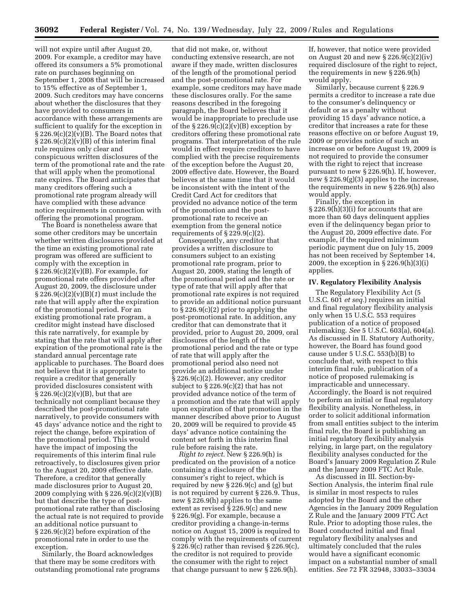will not expire until after August 20, 2009. For example, a creditor may have offered its consumers a 5% promotional rate on purchases beginning on September 1, 2008 that will be increased to 15% effective as of September 1, 2009. Such creditors may have concerns about whether the disclosures that they have provided to consumers in accordance with these arrangements are sufficient to qualify for the exception in  $\S 226.9(c)(2)(v)(B)$ . The Board notes that  $\S 226.9(c)(2)(v)(B)$  of this interim final rule requires only clear and conspicuous written disclosures of the term of the promotional rate and the rate that will apply when the promotional rate expires. The Board anticipates that many creditors offering such a promotional rate program already will have complied with these advance notice requirements in connection with offering the promotional program.

The Board is nonetheless aware that some other creditors may be uncertain whether written disclosures provided at the time an existing promotional rate program was offered are sufficient to comply with the exception in  $\S 226.9(c)(2)(v)(B)$ . For example, for promotional rate offers provided after August 20, 2009, the disclosure under § 226.9(c)(2)(v)(B)(*1*) must include the rate that will apply after the expiration of the promotional period. For an existing promotional rate program, a creditor might instead have disclosed this rate narratively, for example by stating that the rate that will apply after expiration of the promotional rate is the standard annual percentage rate applicable to purchases. The Board does not believe that it is appropriate to require a creditor that generally provided disclosures consistent with  $\S 226.9(c)(2)(v)(B)$ , but that are technically not compliant because they described the post-promotional rate narratively, to provide consumers with 45 days' advance notice and the right to reject the change, before expiration of the promotional period. This would have the impact of imposing the requirements of this interim final rule retroactively, to disclosures given prior to the August 20, 2009 effective date. Therefore, a creditor that generally made disclosures prior to August 20, 2009 complying with § 226.9(c)(2)(v)(B) but that describe the type of postpromotional rate rather than disclosing the actual rate is not required to provide an additional notice pursuant to § 226.9(c)(2) before expiration of the promotional rate in order to use the exception.

Similarly, the Board acknowledges that there may be some creditors with outstanding promotional rate programs

that did not make, or, without conducting extensive research, are not aware if they made, written disclosures of the length of the promotional period and the post-promotional rate. For example, some creditors may have made these disclosures orally. For the same reasons described in the foregoing paragraph, the Board believes that it would be inappropriate to preclude use of the  $\S 226.9(c)(2)(v)(B)$  exception by creditors offering these promotional rate programs. That interpretation of the rule would in effect require creditors to have complied with the precise requirements of the exception before the August 20, 2009 effective date. However, the Board believes at the same time that it would be inconsistent with the intent of the Credit Card Act for creditors that provided no advance notice of the term of the promotion and the postpromotional rate to receive an exemption from the general notice requirements of  $\S 229.9(c)(2)$ .

Consequently, any creditor that provides a written disclosure to consumers subject to an existing promotional rate program, prior to August 20, 2009, stating the length of the promotional period and the rate or type of rate that will apply after that promotional rate expires is not required to provide an additional notice pursuant to § 226.9(c)(2) prior to applying the post-promotional rate. In addition, any creditor that can demonstrate that it provided, prior to August 20, 2009, oral disclosures of the length of the promotional period and the rate or type of rate that will apply after the promotional period also need not provide an additional notice under § 226.9(c)(2). However, any creditor subject to  $\S 226.9(c)(2)$  that has not provided advance notice of the term of a promotion and the rate that will apply upon expiration of that promotion in the manner described above prior to August 20, 2009 will be required to provide 45 days' advance notice containing the content set forth in this interim final rule before raising the rate.

*Right to reject.* New § 226.9(h) is predicated on the provision of a notice containing a disclosure of the consumer's right to reject, which is required by new § 226.9(c) and (g) but is not required by current § 226.9. Thus, new § 226.9(h) applies to the same extent as revised § 226.9(c) and new § 226.9(g). For example, because a creditor providing a change-in-terms notice on August 15, 2009 is required to comply with the requirements of current  $\S 226.9(c)$  rather than revised  $\S 226.9(c)$ , the creditor is not required to provide the consumer with the right to reject that change pursuant to new § 226.9(h).

If, however, that notice were provided on August 20 and new § 226.9(c)(2)(iv) required disclosure of the right to reject, the requirements in new § 226.9(h) would apply.

Similarly, because current § 226.9 permits a creditor to increase a rate due to the consumer's delinquency or default or as a penalty without providing 15 days' advance notice, a creditor that increases a rate for these reasons effective on or before August 19, 2009 or provides notice of such an increase on or before August 19, 2009 is not required to provide the consumer with the right to reject that increase pursuant to new § 226.9(h). If, however, new § 226.9(g)(3) applies to the increase, the requirements in new § 226.9(h) also would apply.

Finally, the exception in § 226.9(h)(3)(i) for accounts that are more than 60 days delinquent applies even if the delinquency began prior to the August 20, 2009 effective date. For example, if the required minimum periodic payment due on July 15, 2009 has not been received by September 14, 2009, the exception in § 226.9(h)(3)(i) applies.

## **IV. Regulatory Flexibility Analysis**

The Regulatory Flexibility Act (5 U.S.C. 601 *et seq.*) requires an initial and final regulatory flexibility analysis only when 15 U.S.C. 553 requires publication of a notice of proposed rulemaking. *See* 5 U.S.C. 603(a), 604(a). As discussed in II. Statutory Authority, however, the Board has found good cause under 5 U.S.C. 553(b)(B) to conclude that, with respect to this interim final rule, publication of a notice of proposed rulemaking is impracticable and unnecessary. Accordingly, the Board is not required to perform an initial or final regulatory flexibility analysis. Nonetheless, in order to solicit additional information from small entities subject to the interim final rule, the Board is publishing an initial regulatory flexibility analysis relying, in large part, on the regulatory flexibility analyses conducted for the Board's January 2009 Regulation Z Rule and the January 2009 FTC Act Rule.

As discussed in III. Section-by-Section Analysis, the interim final rule is similar in most respects to rules adopted by the Board and the other Agencies in the January 2009 Regulation Z Rule and the January 2009 FTC Act Rule. Prior to adopting those rules, the Board conducted initial and final regulatory flexibility analyses and ultimately concluded that the rules would have a significant economic impact on a substantial number of small entities. *See* 72 FR 32948, 33033–33034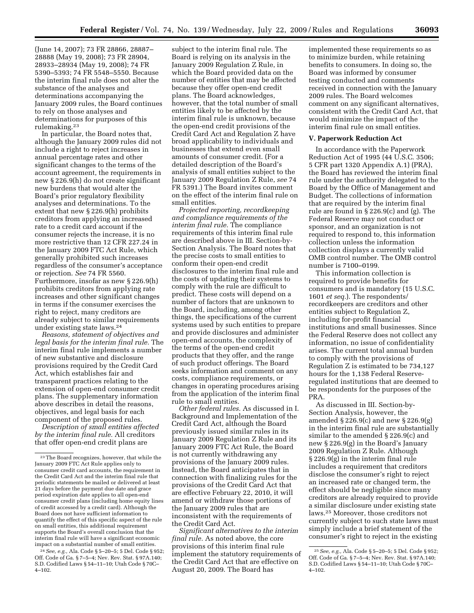(June 14, 2007); 73 FR 28866, 28887– 28888 (May 19, 2008); 73 FR 28904, 28933–28934 (May 19, 2008); 74 FR 5390–5393; 74 FR 5548–5550. Because the interim final rule does not alter the substance of the analyses and determinations accompanying the January 2009 rules, the Board continues to rely on those analyses and determinations for purposes of this rulemaking.23

In particular, the Board notes that, although the January 2009 rules did not include a right to reject increases in annual percentage rates and other significant changes to the terms of the account agreement, the requirements in new § 226.9(h) do not create significant new burdens that would alter the Board's prior regulatory flexibility analyses and determinations. To the extent that new § 226.9(h) prohibits creditors from applying an increased rate to a credit card account if the consumer rejects the increase, it is no more restrictive than 12 CFR 227.24 in the January 2009 FTC Act Rule, which generally prohibited such increases regardless of the consumer's acceptance or rejection. *See* 74 FR 5560. Furthermore, insofar as new § 226.9(h) prohibits creditors from applying rate increases and other significant changes in terms if the consumer exercises the right to reject, many creditors are already subject to similar requirements under existing state laws.24

*Reasons, statement of objectives and legal basis for the interim final rule.* The interim final rule implements a number of new substantive and disclosure provisions required by the Credit Card Act, which establishes fair and transparent practices relating to the extension of open-end consumer credit plans. The supplementary information above describes in detail the reasons, objectives, and legal basis for each component of the proposed rules.

*Description of small entities affected by the interim final rule.* All creditors that offer open-end credit plans are

24*See, e.g.,* Ala. Code § 5–20–5; 5 Del. Code § 952; Off. Code of Ga. § 7–5–4; Nev. Rev. Stat. § 97A.140; S.D. Codified Laws § 54–11–10; Utah Code § 70C– 4–102.

subject to the interim final rule. The Board is relying on its analysis in the January 2009 Regulation Z Rule, in which the Board provided data on the number of entities that may be affected because they offer open-end credit plans. The Board acknowledges, however, that the total number of small entities likely to be affected by the interim final rule is unknown, because the open-end credit provisions of the Credit Card Act and Regulation Z have broad applicability to individuals and businesses that extend even small amounts of consumer credit. (For a detailed description of the Board's analysis of small entities subject to the January 2009 Regulation Z Rule, *see* 74 FR 5391.) The Board invites comment on the effect of the interim final rule on small entities.

*Projected reporting, recordkeeping and compliance requirements of the interim final rule.* The compliance requirements of this interim final rule are described above in III. Section-by-Section Analysis. The Board notes that the precise costs to small entities to conform their open-end credit disclosures to the interim final rule and the costs of updating their systems to comply with the rule are difficult to predict. These costs will depend on a number of factors that are unknown to the Board, including, among other things, the specifications of the current systems used by such entities to prepare and provide disclosures and administer open-end accounts, the complexity of the terms of the open-end credit products that they offer, and the range of such product offerings. The Board seeks information and comment on any costs, compliance requirements, or changes in operating procedures arising from the application of the interim final rule to small entities.

*Other federal rules.* As discussed in I. Background and Implementation of the Credit Card Act, although the Board previously issued similar rules in its January 2009 Regulation Z Rule and its January 2009 FTC Act Rule, the Board is not currently withdrawing any provisions of the January 2009 rules. Instead, the Board anticipates that in connection with finalizing rules for the provisions of the Credit Card Act that are effective February 22, 2010, it will amend or withdraw those portions of the January 2009 rules that are inconsistent with the requirements of the Credit Card Act.

*Significant alternatives to the interim final rule.* As noted above, the core provisions of this interim final rule implement the statutory requirements of the Credit Card Act that are effective on August 20, 2009. The Board has

implemented these requirements so as to minimize burden, while retaining benefits to consumers. In doing so, the Board was informed by consumer testing conducted and comments received in connection with the January 2009 rules. The Board welcomes comment on any significant alternatives, consistent with the Credit Card Act, that would minimize the impact of the interim final rule on small entities.

#### **V. Paperwork Reduction Act**

In accordance with the Paperwork Reduction Act of 1995 (44 U.S.C. 3506; 5 CFR part 1320 Appendix A.1) (PRA), the Board has reviewed the interim final rule under the authority delegated to the Board by the Office of Management and Budget. The collections of information that are required by the interim final rule are found in § 226.9(c) and (g). The Federal Reserve may not conduct or sponsor, and an organization is not required to respond to, this information collection unless the information collection displays a currently valid OMB control number. The OMB control number is 7100–0199.

This information collection is required to provide benefits for consumers and is mandatory (15 U.S.C. 1601 *et seq.*). The respondents/ recordkeepers are creditors and other entities subject to Regulation Z, including for-profit financial institutions and small businesses. Since the Federal Reserve does not collect any information, no issue of confidentiality arises. The current total annual burden to comply with the provisions of Regulation Z is estimated to be 734,127 hours for the 1,138 Federal Reserveregulated institutions that are deemed to be respondents for the purposes of the PRA.

As discussed in III. Section-by-Section Analysis, however, the amended § 226.9(c) and new § 226.9(g) in the interim final rule are substantially similar to the amended § 226.9(c) and new § 226.9(g) in the Board's January 2009 Regulation Z Rule. Although § 226.9(g) in the interim final rule includes a requirement that creditors disclose the consumer's right to reject an increased rate or changed term, the effect should be negligible since many creditors are already required to provide a similar disclosure under existing state laws.25 Moreover, those creditors not currently subject to such state laws must simply include a brief statement of the consumer's right to reject in the existing

<sup>23</sup>The Board recognizes, however, that while the January 2009 FTC Act Rule applies only to consumer credit card accounts, the requirement in the Credit Card Act and the interim final rule that periodic statements be mailed or delivered at least 21 days before the payment due date and grace period expiration date applies to all open-end consumer credit plans (including home equity lines of credit accessed by a credit card). Although the Board does not have sufficient information to quantify the effect of this specific aspect of the rule on small entities, this additional requirement supports the Board's overall conclusion that the interim final rule will have a significant economic impact on a substantial number of small entities.

<sup>25</sup>*See, e.g.,* Ala. Code § 5–20–5; 5 Del. Code § 952; Off. Code of Ga. § 7–5–4; Nev. Rev. Stat. § 97A.140; S.D. Codified Laws § 54–11–10; Utah Code § 70C– 4–102.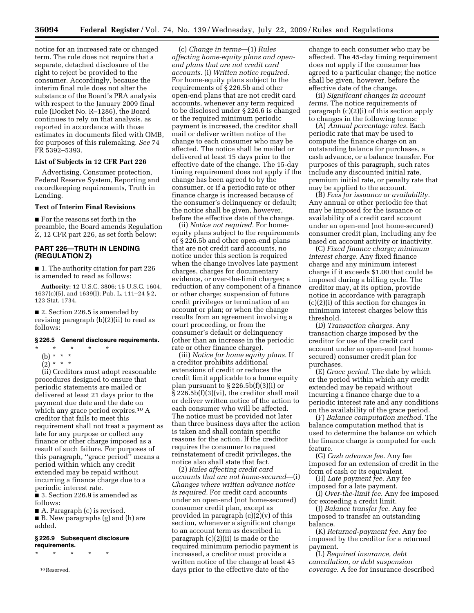notice for an increased rate or changed term. The rule does not require that a separate, detached disclosure of the right to reject be provided to the consumer. Accordingly, because the interim final rule does not alter the substance of the Board's PRA analysis with respect to the January 2009 final rule (Docket No. R–1286), the Board continues to rely on that analysis, as reported in accordance with those estimates in documents filed with OMB, for purposes of this rulemaking. *See* 74 FR 5392–5393.

# **List of Subjects in 12 CFR Part 226**

Advertising, Consumer protection, Federal Reserve System, Reporting and recordkeeping requirements, Truth in Lending.

#### **Text of Interim Final Revisions**

■ For the reasons set forth in the preamble, the Board amends Regulation Z, 12 CFR part 226, as set forth below:

# **PART 226—TRUTH IN LENDING (REGULATION Z)**

■ 1. The authority citation for part 226 is amended to read as follows:

**Authority:** 12 U.S.C. 3806; 15 U.S.C. 1604, 1637(c)(5), and 1639(l); Pub. L. 111–24 § 2, 123 Stat. 1734.

■ 2. Section 226.5 is amended by revising paragraph (b)(2)(ii) to read as follows:

#### **§ 226.5 General disclosure requirements.**

- \* \* \* \* \*
- (b) \* \* \*
- $(2) * * * *$

(ii) Creditors must adopt reasonable procedures designed to ensure that periodic statements are mailed or delivered at least 21 days prior to the payment due date and the date on which any grace period expires.<sup>10</sup> A creditor that fails to meet this requirement shall not treat a payment as late for any purpose or collect any finance or other charge imposed as a result of such failure. For purposes of this paragraph, ''grace period'' means a period within which any credit extended may be repaid without incurring a finance charge due to a periodic interest rate.

■ 3. Section 226.9 is amended as follows:

■ A. Paragraph (c) is revised.

■ B. New paragraphs (g) and (h) are added.

#### **§ 226.9 Subsequent disclosure requirements.**

\* \* \* \* \*

10Reserved.

(c) *Change in terms*—(1) *Rules affecting home-equity plans and openend plans that are not credit card accounts.* (i) *Written notice required.*  For home-equity plans subject to the requirements of § 226.5b and other open-end plans that are not credit card accounts, whenever any term required to be disclosed under § 226.6 is changed or the required minimum periodic payment is increased, the creditor shall mail or deliver written notice of the change to each consumer who may be affected. The notice shall be mailed or delivered at least 15 days prior to the effective date of the change. The 15-day timing requirement does not apply if the change has been agreed to by the consumer, or if a periodic rate or other finance charge is increased because of the consumer's delinquency or default; the notice shall be given, however, before the effective date of the change.

(ii) *Notice not required.* For homeequity plans subject to the requirements of § 226.5b and other open-end plans that are not credit card accounts, no notice under this section is required when the change involves late payment charges, charges for documentary evidence, or over-the-limit charges; a reduction of any component of a finance or other charge; suspension of future credit privileges or termination of an account or plan; or when the change results from an agreement involving a court proceeding, or from the consumer's default or delinquency (other than an increase in the periodic rate or other finance charge).

(iii) *Notice for home equity plans.* If a creditor prohibits additional extensions of credit or reduces the credit limit applicable to a home equity plan pursuant to § 226.5b(f)(3)(i) or § 226.5b(f)(3)(vi), the creditor shall mail or deliver written notice of the action to each consumer who will be affected. The notice must be provided not later than three business days after the action is taken and shall contain specific reasons for the action. If the creditor requires the consumer to request reinstatement of credit privileges, the notice also shall state that fact.

(2) *Rules affecting credit card accounts that are not home-secured*—(i) *Changes where written advance notice is required.* For credit card accounts under an open-end (not home-secured) consumer credit plan, except as provided in paragraph (c)(2)(v) of this section, whenever a significant change to an account term as described in paragraph (c)(2)(ii) is made or the required minimum periodic payment is increased, a creditor must provide a written notice of the change at least 45 days prior to the effective date of the

change to each consumer who may be affected. The 45-day timing requirement does not apply if the consumer has agreed to a particular change; the notice shall be given, however, before the effective date of the change.

(ii) *Significant changes in account terms.* The notice requirements of paragraph (c)(2)(i) of this section apply to changes in the following terms:

(A) *Annual percentage rates.* Each periodic rate that may be used to compute the finance charge on an outstanding balance for purchases, a cash advance, or a balance transfer. For purposes of this paragraph, such rates include any discounted initial rate, premium initial rate, or penalty rate that may be applied to the account.

(B) *Fees for issuance or availability.*  Any annual or other periodic fee that may be imposed for the issuance or availability of a credit card account under an open-end (not home-secured) consumer credit plan, including any fee based on account activity or inactivity.

(C) *Fixed finance charge; minimum interest charge.* Any fixed finance charge and any minimum interest charge if it exceeds \$1.00 that could be imposed during a billing cycle. The creditor may, at its option, provide notice in accordance with paragraph (c)(2)(i) of this section for changes in minimum interest charges below this threshold.

(D) *Transaction charges.* Any transaction charge imposed by the creditor for use of the credit card account under an open-end (not homesecured) consumer credit plan for purchases.

(E) *Grace period.* The date by which or the period within which any credit extended may be repaid without incurring a finance charge due to a periodic interest rate and any conditions on the availability of the grace period.

(F) *Balance computation method.* The balance computation method that is used to determine the balance on which the finance charge is computed for each feature.

(G) *Cash advance fee.* Any fee imposed for an extension of credit in the form of cash or its equivalent.

(H) *Late payment fee.* Any fee imposed for a late payment.

(I) *Over-the-limit fee.* Any fee imposed for exceeding a credit limit.

(J) *Balance transfer fee.* Any fee imposed to transfer an outstanding balance.

(K) *Returned-payment fee.* Any fee imposed by the creditor for a returned payment.

(L) *Required insurance, debt cancellation, or debt suspension coverage.* A fee for insurance described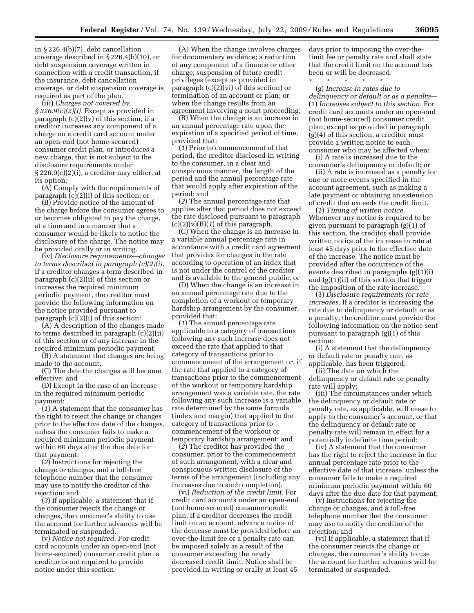in § 226.4(b)(7), debt cancellation coverage described in § 226.4(b)(10), or debt suspension coverage written in connection with a credit transaction, if the insurance, debt cancellation coverage, or debt suspension coverage is required as part of the plan.

(iii) *Charges not covered by § 226.9(c)(2)(i).* Except as provided in paragraph  $(c)(2)(v)$  of this section, if a creditor increases any component of a charge on a credit card account under an open-end (not home-secured) consumer credit plan, or introduces a new charge, that is not subject to the disclosure requirements under  $\S 226.9(c)(2)(i)$ , a creditor may either, at its option:

(A) Comply with the requirements of paragraph (c)(2)(i) of this section; or

(B) Provide notice of the amount of the charge before the consumer agrees to or becomes obligated to pay the charge, at a time and in a manner that a consumer would be likely to notice the disclosure of the charge. The notice may be provided orally or in writing.

(iv) *Disclosure requirements—changes to terms described in paragraph (c)(2)(i).*  If a creditor changes a term described in paragraph (c)(2)(ii) of this section or increases the required minimum periodic payment, the creditor must provide the following information on the notice provided pursuant to paragraph (c)(2)(i) of this section:

(A) A description of the changes made to terms described in paragraph (c)(2)(ii) of this section or of any increase in the required minimum periodic payment;

(B) A statement that changes are being made to the account;

(C) The date the changes will become effective; and

(D) Except in the case of an increase in the required minimum periodic payment:

(*1*) A statement that the consumer has the right to reject the change or changes prior to the effective date of the changes, unless the consumer fails to make a required minimum periodic payment within 60 days after the due date for that payment;

(*2*) Instructions for rejecting the change or changes, and a toll-free telephone number that the consumer may use to notify the creditor of the rejection; and

(*3*) If applicable, a statement that if the consumer rejects the change or changes, the consumer's ability to use the account for further advances will be terminated or suspended.

(v) *Notice not required.* For credit card accounts under an open-end (not home-secured) consumer credit plan, a creditor is not required to provide notice under this section:

(A) When the change involves charges for documentary evidence; a reduction of any component of a finance or other charge; suspension of future credit privileges (except as provided in paragraph (c)(2)(vi) of this section) or termination of an account or plan; or when the change results from an agreement involving a court proceeding;

(B) When the change is an increase in an annual percentage rate upon the expiration of a specified period of time, provided that:

(*1*) Prior to commencement of that period, the creditor disclosed in writing to the consumer, in a clear and conspicuous manner, the length of the period and the annual percentage rate that would apply after expiration of the period; and

(*2*) The annual percentage rate that applies after that period does not exceed the rate disclosed pursuant to paragraph  $(c)(2)(v)(B)(1)$  of this paragraph.

(C) When the change is an increase in a variable annual percentage rate in accordance with a credit card agreement that provides for changes in the rate according to operation of an index that is not under the control of the creditor and is available to the general public; or

(D) When the change is an increase in an annual percentage rate due to the completion of a workout or temporary hardship arrangement by the consumer, provided that:

(*1*) The annual percentage rate applicable to a category of transactions following any such increase does not exceed the rate that applied to that category of transactions prior to commencement of the arrangement or, if the rate that applied to a category of transactions prior to the commencement of the workout or temporary hardship arrangement was a variable rate, the rate following any such increase is a variable rate determined by the same formula (index and margin) that applied to the category of transactions prior to commencement of the workout or temporary hardship arrangement; and

(*2*) The creditor has provided the consumer, prior to the commencement of such arrangement, with a clear and conspicuous written disclosure of the terms of the arrangement (including any increases due to such completion).

(vi) *Reduction of the credit limit.* For credit card accounts under an open-end (not home-secured) consumer credit plan, if a creditor decreases the credit limit on an account, advance notice of the decrease must be provided before an over-the-limit fee or a penalty rate can be imposed solely as a result of the consumer exceeding the newly decreased credit limit. Notice shall be provided in writing or orally at least 45

days prior to imposing the over-thelimit fee or penalty rate and shall state that the credit limit on the account has been or will be decreased.

\* \* \* \* \*

(g) *Increase in rates due to delinquency or default or as a penalty*— (1) *Increases subject to this section.* For credit card accounts under an open-end (not home-secured) consumer credit plan, except as provided in paragraph (g)(4) of this section, a creditor must provide a written notice to each consumer who may be affected when:

(i) A rate is increased due to the consumer's delinquency or default; or

(ii) A rate is increased as a penalty for one or more events specified in the account agreement, such as making a late payment or obtaining an extension of credit that exceeds the credit limit.

(2) *Timing of written notice.*  Whenever any notice is required to be given pursuant to paragraph (g)(1) of this section, the creditor shall provide written notice of the increase in rate at least 45 days prior to the effective date of the increase. The notice must be provided after the occurrence of the events described in paragraphs (g)(1)(i) and (g)(1)(ii) of this section that trigger the imposition of the rate increase.

(3) *Disclosure requirements for rate increases.* If a creditor is increasing the rate due to delinquency or default or as a penalty, the creditor must provide the following information on the notice sent pursuant to paragraph (g)(1) of this section:

(i) A statement that the delinquency or default rate or penalty rate, as applicable, has been triggered;

(ii) The date on which the delinquency or default rate or penalty rate will apply;

(iii) The circumstances under which the delinquency or default rate or penalty rate, as applicable, will cease to apply to the consumer's account, or that the delinquency or default rate or penalty rate will remain in effect for a potentially indefinite time period;

(iv) A statement that the consumer has the right to reject the increase in the annual percentage rate prior to the effective date of that increase, unless the consumer fails to make a required minimum periodic payment within 60 days after the due date for that payment;

(v) Instructions for rejecting the change or changes, and a toll-free telephone number that the consumer may use to notify the creditor of the rejection; and

(vi) If applicable, a statement that if the consumer rejects the change or changes, the consumer's ability to use the account for further advances will be terminated or suspended.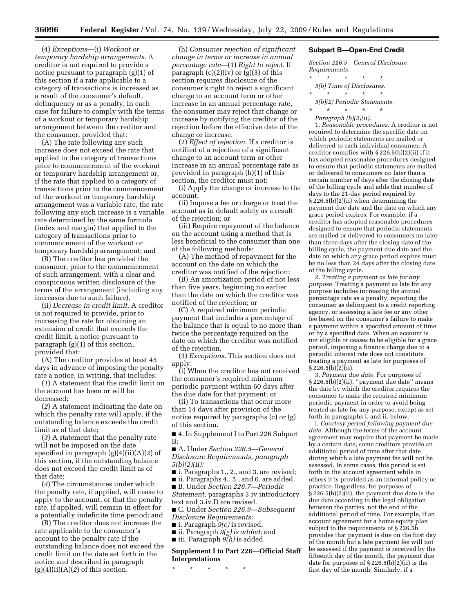(4) *Exceptions*—(i) *Workout or temporary hardship arrangements.* A creditor is not required to provide a notice pursuant to paragraph (g)(1) of this section if a rate applicable to a category of transactions is increased as a result of the consumer's default, delinquency or as a penalty, in each case for failure to comply with the terms of a workout or temporary hardship arrangement between the creditor and the consumer, provided that:

(A) The rate following any such increase does not exceed the rate that applied to the category of transactions prior to commencement of the workout or temporary hardship arrangement or, if the rate that applied to a category of transactions prior to the commencement of the workout or temporary hardship arrangement was a variable rate, the rate following any such increase is a variable rate determined by the same formula (index and margin) that applied to the category of transactions prior to commencement of the workout or temporary hardship arrangement; and

(B) The creditor has provided the consumer, prior to the commencement of such arrangement, with a clear and conspicuous written disclosure of the terms of the arrangement (including any increases due to such failure).

(ii) *Decrease in credit limit.* A creditor is not required to provide, prior to increasing the rate for obtaining an extension of credit that exceeds the credit limit, a notice pursuant to paragraph (g)(1) of this section, provided that:

(A) The creditor provides at least 45 days in advance of imposing the penalty rate a notice, in writing, that includes:

(*1*) A statement that the credit limit on the account has been or will be decreased;

(*2*) A statement indicating the date on which the penalty rate will apply, if the outstanding balance exceeds the credit limit as of that date;

(*3*) A statement that the penalty rate will not be imposed on the date specified in paragraph (g)(4)(ii)(A)(*2*) of this section, if the outstanding balance does not exceed the credit limit as of that date;

(*4*) The circumstances under which the penalty rate, if applied, will cease to apply to the account, or that the penalty rate, if applied, will remain in effect for a potentially indefinite time period; and

(B) The creditor does not increase the rate applicable to the consumer's account to the penalty rate if the outstanding balance does not exceed the credit limit on the date set forth in the notice and described in paragraph  $(g)(4)(ii)(A)(2)$  of this section.

(h) *Consumer rejection of significant change in terms or increase in annual percentage rate*—(1) *Right to reject.* If paragraph  $(c)(2)(iv)$  or  $(g)(3)$  of this section requires disclosure of the consumer's right to reject a significant change to an account term or other increase in an annual percentage rate, the consumer may reject that change or increase by notifying the creditor of the rejection before the effective date of the change or increase.

(2) *Effect of rejection.* If a creditor is notified of a rejection of a significant change to an account term or other increase in an annual percentage rate as provided in paragraph (h)(1) of this section, the creditor must not:

(i) Apply the change or increase to the account;

(ii) Impose a fee or charge or treat the account as in default solely as a result of the rejection; or

(iii) Require repayment of the balance on the account using a method that is less beneficial to the consumer than one of the following methods:

(A) The method of repayment for the account on the date on which the creditor was notified of the rejection;

(B) An amortization period of not less than five years, beginning no earlier than the date on which the creditor was notified of the rejection; or

(C) A required minimum periodic payment that includes a percentage of the balance that is equal to no more than twice the percentage required on the date on which the creditor was notified of the rejection.

(3) *Exceptions.* This section does not apply:

(i) When the creditor has not received the consumer's required minimum periodic payment within 60 days after the due date for that payment; or

(ii) To transactions that occur more than 14 days after provision of the notice required by paragraphs (c) or (g) of this section.

■ 4. In Supplement I to Part 226 Subpart B:

■ A. Under *Section 226.5—General Disclosure Requirements, paragraph 5(b)(2)(ii):* 

■ i. Paragraphs 1., 2., and 3. are revised;

■ ii. Paragraphs 4., 5., and 6. are added. ■ B. Under *Section 226.7—Periodic Statement,* paragraphs 3.iv introductory text and 3.iv.D are revised.

■ C. Under *Section 226.9—Subsequent* 

*Disclosure Requirements:* 

■ i. Paragraph *9(c)* is revised;

■ ii. Paragraph *9(g) is added;* and

■ iii. Paragraph  $\overline{g}(h)$  is added.

# **Supplement I to Part 226—Official Staff Interpretations**

\* \* \* \* \*

#### **Subpart B—Open-End Credit**

*Section 226.5 General Disclosure Requirements.* 

\* \* \* \* \*

*5(b) Time of Disclosures.*  \* \* \* \* \*

*5(b)(2) Periodic Statements.* 

 $\star$   $\star$   $\star$   $\star$ 

*Paragraph (b)(2)(ii).* 

1. *Reasonable procedures.* A creditor is not required to determine the specific date on which periodic statements are mailed or delivered to each individual consumer. A creditor complies with § 226.5(b)(2)(ii) if it has adopted reasonable procedures designed to ensure that periodic statements are mailed or delivered to consumers no later than a certain number of days after the closing date of the billing cycle and adds that number of days to the 21-day period required by § 226.5(b)(2)(ii) when determining the payment due date and the date on which any grace period expires. For example, if a creditor has adopted reasonable procedures designed to ensure that periodic statements are mailed or delivered to consumers no later than three days after the closing date of the billing cycle, the payment due date and the date on which any grace period expires must be no less than 24 days after the closing date of the billing cycle.

2. *Treating a payment as late for any purpose.* Treating a payment as late for any purpose includes increasing the annual percentage rate as a penalty, reporting the consumer as delinquent to a credit reporting agency, or assessing a late fee or any other fee based on the consumer's failure to make a payment within a specified amount of time or by a specified date. When an account is not eligible or ceases to be eligible for a grace period, imposing a finance charge due to a periodic interest rate does not constitute treating a payment as late for purposes of  $\S 226.5(b)(2)(ii)$ .

3. *Payment due date.* For purposes of § 226.5(b)(2)(ii), ''payment due date'' means the date by which the creditor requires the consumer to make the required minimum periodic payment in order to avoid being treated as late for any purpose, except as set forth in paragraphs i. and ii. below.

i. *Courtesy period following payment due date.* Although the terms of the account agreement may require that payment be made by a certain date, some creditors provide an additional period of time after that date during which a late payment fee will not be assessed. In some cases, this period is set forth in the account agreement while in others it is provided as an informal policy or practice. Regardless, for purposes of § 226.5(b)(2)(ii), the payment due date is the due date according to the legal obligation between the parties, not the end of the additional period of time. For example, if an account agreement for a home equity plan subject to the requirements of § 226.5b provides that payment is due on the first day of the month but a late payment fee will not be assessed if the payment is received by the fifteenth day of the month, the payment due date for purposes of  $\S 226.5(b)(2)(ii)$  is the first day of the month. Similarly, if a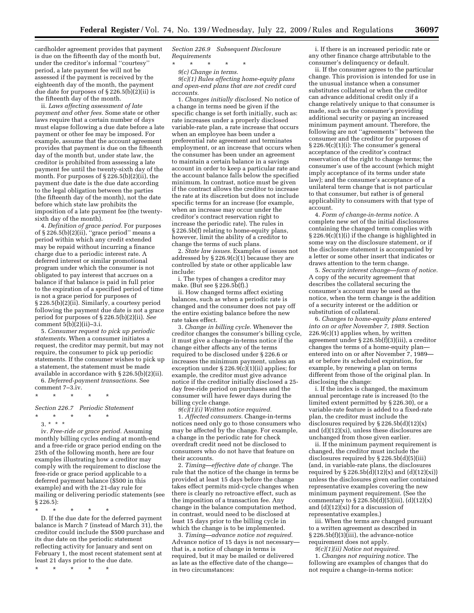cardholder agreement provides that payment is due on the fifteenth day of the month but, under the creditor's informal ''courtesy'' period, a late payment fee will not be assessed if the payment is received by the eighteenth day of the month, the payment due date for purposes of § 226.5(b)(2)(ii) is the fifteenth day of the month.

ii. *Laws affecting assessment of late payment and other fees.* Some state or other laws require that a certain number of days must elapse following a due date before a late payment or other fee may be imposed. For example, assume that the account agreement provides that payment is due on the fifteenth day of the month but, under state law, the creditor is prohibited from assessing a late payment fee until the twenty-sixth day of the month. For purposes of  $\S 226.5(b)(2)(ii)$ , the payment due date is the due date according to the legal obligation between the parties (the fifteenth day of the month), not the date before which state law prohibits the imposition of a late payment fee (the twentysixth day of the month).

4. *Definition of grace period.* For purposes of § 226.5(b)(2)(ii), ''grace period'' means a period within which any credit extended may be repaid without incurring a finance charge due to a periodic interest rate. A deferred interest or similar promotional program under which the consumer is not obligated to pay interest that accrues on a balance if that balance is paid in full prior to the expiration of a specified period of time is not a grace period for purposes of § 226.5(b)(2)(ii). Similarly, a courtesy period following the payment due date is not a grace period for purposes of § 226.5(b)(2)(ii). *See*  comment  $5(b)(2)(ii)-3.i.$ 

5. *Consumer request to pick up periodic statements.* When a consumer initiates a request, the creditor may permit, but may not require, the consumer to pick up periodic statements. If the consumer wishes to pick up a statement, the statement must be made available in accordance with § 226.5(b)(2)(ii).

6. *Deferred-payment transactions.* See comment 7–3.iv.

\* \* \* \* \*

*Section 226.7 Periodic Statement* 

\* \* \* \* \*

3. \* \* \* iv. *Free-ride or grace period.* Assuming monthly billing cycles ending at month-end and a free-ride or grace period ending on the 25th of the following month, here are four examples illustrating how a creditor may comply with the requirement to disclose the free-ride or grace period applicable to a deferred payment balance (\$500 in this example) and with the 21-day rule for mailing or delivering periodic statements (see

§ 226.5):

\* \* \* \* \* D. If the due date for the deferred payment balance is March 7 (instead of March 31), the creditor could include the \$500 purchase and its due date on the periodic statement reflecting activity for January and sent on February 1, the most recent statement sent at

least 21 days prior to the due date. \* \* \* \* \*

*Section 226.9 Subsequent Disclosure Requirements* 

\* \* \* \* \*

*9(c) Change in terms.* 

*9(c)(1) Rules affecting home-equity plans and open-end plans that are not credit card accounts.* 

1. *Changes initially disclosed.* No notice of a change in terms need be given if the specific change is set forth initially, such as: rate increases under a properly disclosed variable-rate plan, a rate increase that occurs when an employee has been under a preferential rate agreement and terminates employment, or an increase that occurs when the consumer has been under an agreement to maintain a certain balance in a savings account in order to keep a particular rate and the account balance falls below the specified minimum. In contrast, notice must be given if the contract allows the creditor to increase the rate at its discretion but does not include specific terms for an increase (for example, when an increase may occur under the creditor's contract reservation right to increase the periodic rate). The rules in § 226.5b(f) relating to home-equity plans, however, limit the ability of a creditor to change the terms of such plans.

2. *State law issues.* Examples of issues not addressed by § 226.9(c)(1) because they are controlled by state or other applicable law include:

i. The types of changes a creditor may make. (But see § 226.5b(f).)

ii. How changed terms affect existing balances, such as when a periodic rate is changed and the consumer does not pay off the entire existing balance before the new rate takes effect.

3. *Change in billing cycle.* Whenever the creditor changes the consumer's billing cycle, it must give a change-in-terms notice if the change either affects any of the terms required to be disclosed under § 226.6 or increases the minimum payment, unless an exception under § 226.9(c)(1)(ii) applies; for example, the creditor must give advance notice if the creditor initially disclosed a 25 day free-ride period on purchases and the consumer will have fewer days during the billing cycle change.

*9(c)(1)(i) Written notice required.*  1. *Affected consumers.* Change-in-terms notices need only go to those consumers who may be affected by the change. For example, a change in the periodic rate for check overdraft credit need not be disclosed to consumers who do not have that feature on their accounts.

2. *Timing—effective date of change.* The rule that the notice of the change in terms be provided at least 15 days before the change takes effect permits mid-cycle changes when there is clearly no retroactive effect, such as the imposition of a transaction fee. Any change in the balance computation method, in contrast, would need to be disclosed at least 15 days prior to the billing cycle in which the change is to be implemented.

3. *Timing—advance notice not required.*  Advance notice of 15 days is not necessary that is, a notice of change in terms is required, but it may be mailed or delivered as late as the effective date of the change in two circumstances:

i. If there is an increased periodic rate or any other finance charge attributable to the consumer's delinquency or default.

ii. If the consumer agrees to the particular change. This provision is intended for use in the unusual instance when a consumer substitutes collateral or when the creditor can advance additional credit only if a change relatively unique to that consumer is made, such as the consumer's providing additional security or paying an increased minimum payment amount. Therefore, the following are not ''agreements'' between the consumer and the creditor for purposes of § 226.9(c)(1)(i): The consumer's general acceptance of the creditor's contract reservation of the right to change terms; the consumer's use of the account (which might imply acceptance of its terms under state law); and the consumer's acceptance of a unilateral term change that is not particular to that consumer, but rather is of general applicability to consumers with that type of account.

4. *Form of change-in-terms notice.* A complete new set of the initial disclosures containing the changed term complies with  $\S 226.9(c)[1]$ (i) if the change is highlighted in some way on the disclosure statement, or if the disclosure statement is accompanied by a letter or some other insert that indicates or draws attention to the term change.

5. *Security interest change—form of notice.*  A copy of the security agreement that describes the collateral securing the consumer's account may be used as the notice, when the term change is the addition of a security interest or the addition or substitution of collateral.

6. *Changes to home-equity plans entered into on or after November 7, 1989.* Section  $226.9(c)(1)$  applies when, by written agreement under § 226.5b(f)(3)(iii), a creditor changes the terms of a home-equity plan entered into on or after November 7, 1989 at or before its scheduled expiration, for example, by renewing a plan on terms different from those of the original plan. In disclosing the change:

i. If the index is changed, the maximum annual percentage rate is increased (to the limited extent permitted by § 226.30), or a variable-rate feature is added to a fixed-rate plan, the creditor must include the disclosures required by  $\S 226.5b(d)(12)(x)$ and (d)(12)(xi), unless these disclosures are unchanged from those given earlier.

ii. If the minimum payment requirement is changed, the creditor must include the disclosures required by § 226.5b(d)(5)(iii) (and, in variable-rate plans, the disclosures required by  $\S 226.5b(\hat{d})(12)(x)$  and  $(d)(12)(xi)$ unless the disclosures given earlier contained representative examples covering the new minimum payment requirement. (See the commentary to  $\S 226.5b(d)(5)(iii)$ ,  $(d)(12)(x)$ and  $(d)(12)(xi)$  for a discussion of representative examples.)

iii. When the terms are changed pursuant to a written agreement as described in § 226.5b(f)(3)(iii), the advance-notice requirement does not apply.

*9(c)(1)(ii) Notice not required.* 

1. *Changes not requiring notice.* The following are examples of changes that do not require a change-in-terms notice: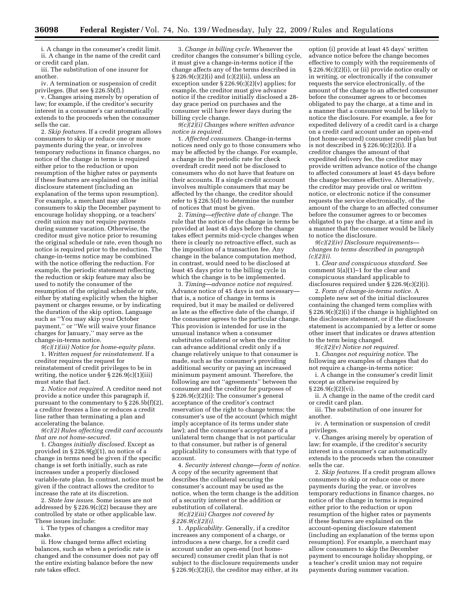i. A change in the consumer's credit limit. ii. A change in the name of the credit card or credit card plan.

iii. The substitution of one insurer for another.

iv. A termination or suspension of credit privileges. (But see § 226.5b(f).)

v. Changes arising merely by operation of law; for example, if the creditor's security interest in a consumer's car automatically extends to the proceeds when the consumer sells the car.

2. *Skip features.* If a credit program allows consumers to skip or reduce one or more payments during the year, or involves temporary reductions in finance charges, no notice of the change in terms is required either prior to the reduction or upon resumption of the higher rates or payments if these features are explained on the initial disclosure statement (including an explanation of the terms upon resumption). For example, a merchant may allow consumers to skip the December payment to encourage holiday shopping, or a teachers' credit union may not require payments during summer vacation. Otherwise, the creditor must give notice prior to resuming the original schedule or rate, even though no notice is required prior to the reduction. The change-in-terms notice may be combined with the notice offering the reduction. For example, the periodic statement reflecting the reduction or skip feature may also be used to notify the consumer of the resumption of the original schedule or rate, either by stating explicitly when the higher payment or charges resume, or by indicating the duration of the skip option. Language such as "You may skip your October payment,'' or ''We will waive your finance charges for January,'' may serve as the change-in-terms notice.

*9(c)(1)(iii) Notice for home-equity plans.*  1. *Written request for reinstatement.* If a creditor requires the request for reinstatement of credit privileges to be in writing, the notice under § 226.9(c)(1)(iii) must state that fact.

2. *Notice not required.* A creditor need not provide a notice under this paragraph if, pursuant to the commentary to § 226.5b(f)(2), a creditor freezes a line or reduces a credit line rather than terminating a plan and accelerating the balance.

*9(c)(2) Rules affecting credit card accounts that are not home-secured.* 

1. *Changes initially disclosed.* Except as provided in  $\S 226.9(g)(1)$ , no notice of a change in terms need be given if the specific change is set forth initially, such as rate increases under a properly disclosed variable-rate plan. In contrast, notice must be given if the contract allows the creditor to increase the rate at its discretion.

2. *State law issues.* Some issues are not addressed by § 226.9(c)(2) because they are controlled by state or other applicable law. These issues include:

i. The types of changes a creditor may make.

ii. How changed terms affect existing balances, such as when a periodic rate is changed and the consumer does not pay off the entire existing balance before the new rate takes effect.

3. *Change in billing cycle.* Whenever the creditor changes the consumer's billing cycle, it must give a change-in-terms notice if the change affects any of the terms described in § 226.9(c)(2)(i) and (c)(2)(ii), unless an exception under  $\S 226.9(c)(2)(v)$  applies; for example, the creditor must give advance notice if the creditor initially disclosed a 28 day grace period on purchases and the consumer will have fewer days during the billing cycle change.

*9(c)(2)(i) Changes where written advance notice is required.* 

1. *Affected consumers.* Change-in-terms notices need only go to those consumers who may be affected by the change. For example, a change in the periodic rate for check overdraft credit need not be disclosed to consumers who do not have that feature on their accounts. If a single credit account involves multiple consumers that may be affected by the change, the creditor should refer to § 226.5(d) to determine the number of notices that must be given.

2. *Timing—effective date of change.* The rule that the notice of the change in terms be provided at least 45 days before the change takes effect permits mid-cycle changes when there is clearly no retroactive effect, such as the imposition of a transaction fee. Any change in the balance computation method, in contrast, would need to be disclosed at least 45 days prior to the billing cycle in which the change is to be implemented.

3. *Timing—advance notice not required.*  Advance notice of 45 days is not necessary that is, a notice of change in terms is required, but it may be mailed or delivered as late as the effective date of the change, if the consumer agrees to the particular change. This provision is intended for use in the unusual instance when a consumer substitutes collateral or when the creditor can advance additional credit only if a change relatively unique to that consumer is made, such as the consumer's providing additional security or paying an increased minimum payment amount. Therefore, the following are not ''agreements'' between the consumer and the creditor for purposes of § 226.9(c)(2)(i): The consumer's general acceptance of the creditor's contract reservation of the right to change terms; the consumer's use of the account (which might imply acceptance of its terms under state law); and the consumer's acceptance of a unilateral term change that is not particular to that consumer, but rather is of general applicability to consumers with that type of account.

4. *Security interest change—form of notice.*  A copy of the security agreement that describes the collateral securing the consumer's account may be used as the notice, when the term change is the addition of a security interest or the addition or substitution of collateral.

*9(c)(2)(iii) Charges not covered by § 226.9(c)(2)(i).* 

1. *Applicability.* Generally, if a creditor increases any component of a charge, or introduces a new charge, for a credit card account under an open-end (not homesecured) consumer credit plan that is not subject to the disclosure requirements under  $§ 226.9(c)(2)(i)$ , the creditor may either, at its

option (i) provide at least 45 days' written advance notice before the change becomes effective to comply with the requirements of § 226.9(c)(2)(i), or (ii) provide notice orally or in writing, or electronically if the consumer requests the service electronically, of the amount of the charge to an affected consumer before the consumer agrees to or becomes obligated to pay the charge, at a time and in a manner that a consumer would be likely to notice the disclosure. For example, a fee for expedited delivery of a credit card is a charge on a credit card account under an open-end (not home-secured) consumer credit plan but is not described in  $\S 226.9(c)(2)(i)$ . If a creditor changes the amount of that expedited delivery fee, the creditor may provide written advance notice of the change to affected consumers at least 45 days before the change becomes effective. Alternatively, the creditor may provide oral or written notice, or electronic notice if the consumer requests the service electronically, of the amount of the charge to an affected consumer before the consumer agrees to or becomes obligated to pay the charge, at a time and in a manner that the consumer would be likely to notice the disclosure.

*9(c)(2)(iv) Disclosure requirements changes to terms described in paragraph (c)(2)(i).* 

1. *Clear and conspicuous standard.* See comment  $5(a)(1)-1$  for the clear and conspicuous standard applicable to disclosures required under § 226.9(c)(2)(i).

2. *Form of change-in-terms notice.* A complete new set of the initial disclosures containing the changed term complies with § 226.9(c)(2)(i) if the change is highlighted on the disclosure statement, or if the disclosure statement is accompanied by a letter or some other insert that indicates or draws attention to the term being changed.

*9(c)(2)(v) Notice not required.* 

1. *Changes not requiring notice.* The following are examples of changes that do not require a change-in-terms notice:

i. A change in the consumer's credit limit except as otherwise required by  $§ 226.9(c)(2)(vi).$ 

ii. A change in the name of the credit card or credit card plan.

iii. The substitution of one insurer for another.

iv. A termination or suspension of credit privileges.

v. Changes arising merely by operation of law; for example, if the creditor's security interest in a consumer's car automatically extends to the proceeds when the consumer sells the car.

2. *Skip features.* If a credit program allows consumers to skip or reduce one or more payments during the year, or involves temporary reductions in finance charges, no notice of the change in terms is required either prior to the reduction or upon resumption of the higher rates or payments if these features are explained on the account-opening disclosure statement (including an explanation of the terms upon resumption). For example, a merchant may allow consumers to skip the December payment to encourage holiday shopping, or a teacher's credit union may not require payments during summer vacation.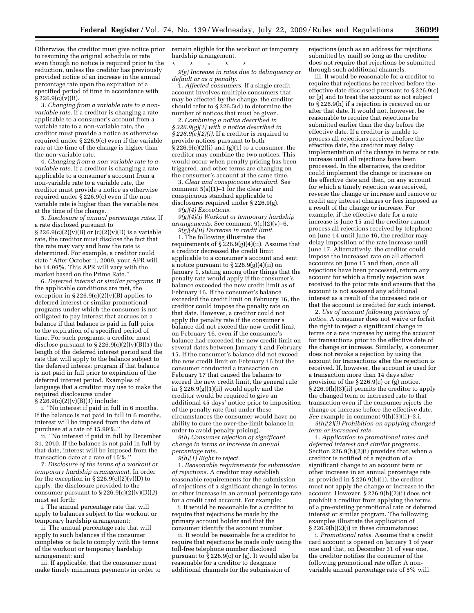Otherwise, the creditor must give notice prior to resuming the original schedule or rate even though no notice is required prior to the reduction, unless the creditor has previously provided notice of an increase in the annual percentage rate upon the expiration of a specified period of time in accordance with  $\S 226.9(c)\bar{v}(B)$ .

3. *Changing from a variable rate to a nonvariable rate.* If a creditor is changing a rate applicable to a consumer's account from a variable rate to a non-variable rate, the creditor must provide a notice as otherwise required under § 226.9(c) even if the variable rate at the time of the change is higher than the non-variable rate.

4. *Changing from a non-variable rate to a variable rate.* If a creditor is changing a rate applicable to a consumer's account from a non-variable rate to a variable rate, the creditor must provide a notice as otherwise required under § 226.9(c) even if the nonvariable rate is higher than the variable rate at the time of the change.

5. *Disclosure of annual percentage rates.* If a rate disclosed pursuant to  $\S 226.9(c)(2)(v)(B)$  or  $(c)(2)(v)(D)$  is a variable rate, the creditor must disclose the fact that the rate may vary and how the rate is determined. For example, a creditor could state ''After October 1, 2009, your APR will be 14.99%. This APR will vary with the market based on the Prime Rate.''

6. *Deferred interest or similar programs.* If the applicable conditions are met, the exception in  $\S 226.9(c)(2)(v)(B)$  applies to deferred interest or similar promotional programs under which the consumer is not obligated to pay interest that accrues on a balance if that balance is paid in full prior to the expiration of a specified period of time. For such programs, a creditor must disclose pursuant to § 226.9(c)(2)(v)(B)(*1*) the length of the deferred interest period and the rate that will apply to the balance subject to the deferred interest program if that balance is not paid in full prior to expiration of the deferred interest period. Examples of language that a creditor may use to make the required disclosures under § 226.9(c)(2)(v)(B)(*1*) include:

i. ''No interest if paid in full in 6 months. If the balance is not paid in full in 6 months,

interest will be imposed from the date of purchase at a rate of 15.99%. ii. ''No interest if paid in full by December

31, 2010. If the balance is not paid in full by that date, interest will be imposed from the transaction date at a rate of 15%.

7. *Disclosure of the terms of a workout or temporary hardship arrangement.* In order for the exception in  $\S 226.9(c)(2)(v)(D)$  to apply, the disclosure provided to the consumer pursuant to  $\S 226.9(c)(2)(v)(D)(2)$ must set forth:

i. The annual percentage rate that will apply to balances subject to the workout or temporary hardship arrangement;

ii. The annual percentage rate that will apply to such balances if the consumer completes or fails to comply with the terms of the workout or temporary hardship arrangement; and

iii. If applicable, that the consumer must make timely minimum payments in order to remain eligible for the workout or temporary hardship arrangement.

\* \* \* \* \*

*9(g) Increase in rates due to delinquency or default or as a penalty.* 

1. *Affected consumers.* If a single credit account involves multiple consumers that may be affected by the change, the creditor should refer to § 226.5(d) to determine the number of notices that must be given.

2. *Combining a notice described in § 226.9(g)(1) with a notice described in § 226.9(c)(2)(i).* If a creditor is required to provide notices pursuant to both  $\hat{\S}$  226.9(c)(2)(i) and (g)(1) to a consumer, the creditor may combine the two notices. This would occur when penalty pricing has been triggered, and other terms are changing on the consumer's account at the same time.

3. *Clear and conspicuous standard.* See comment 5(a)(1)–1 for the clear and conspicuous standard applicable to disclosures required under § 226.9(g). *9(g)(4) Exceptions.* 

*9(g)(4)(i) Workout or temporary hardship arrangements.* See comment 9(c)(2)(v)–6.

*9(g)(4)(ii) Decrease in credit limit.* 

1. The following illustrates the requirements of  $\S 226.9(g)(4)(ii)$ . Assume that a creditor decreased the credit limit applicable to a consumer's account and sent a notice pursuant to  $\S 226.9(g)(4)(ii)$  on January 1, stating among other things that the penalty rate would apply if the consumer's balance exceeded the new credit limit as of February 16. If the consumer's balance exceeded the credit limit on February 16, the creditor could impose the penalty rate on that date. However, a creditor could not apply the penalty rate if the consumer's balance did not exceed the new credit limit on February 16, even if the consumer's balance had exceeded the new credit limit on several dates between January 1 and February 15. If the consumer's balance did not exceed the new credit limit on February 16 but the consumer conducted a transaction on February 17 that caused the balance to exceed the new credit limit, the general rule in § 226.9(g)(1)(ii) would apply and the creditor would be required to give an additional 45 days' notice prior to imposition of the penalty rate (but under these circumstances the consumer would have no ability to cure the over-the-limit balance in order to avoid penalty pricing).

*9(h) Consumer rejection of significant change in terms or increase in annual percentage rate.* 

*9(h)(1) Right to reject.* 

1. *Reasonable requirements for submission of rejections.* A creditor may establish reasonable requirements for the submission of rejections of a significant change in terms or other increase in an annual percentage rate for a credit card account. For example:

i. It would be reasonable for a creditor to require that rejections be made by the primary account holder and that the consumer identify the account number.

ii. It would be reasonable for a creditor to require that rejections be made only using the toll-free telephone number disclosed pursuant to  $\bar{\S}$  226.9(c) or (g). It would also be reasonable for a creditor to designate additional channels for the submission of

rejections (such as an address for rejections submitted by mail) so long as the creditor does not require that rejections be submitted through such additional channels.

iii. It would be reasonable for a creditor to require that rejections be received before the effective date disclosed pursuant to § 226.9(c) or (g) and to treat the account as not subject to § 226.9(h) if a rejection is received on or after that date. It would not, however, be reasonable to require that rejections be submitted earlier than the day before the effective date. If a creditor is unable to process all rejections received before the effective date, the creditor may delay implementation of the change in terms or rate increase until all rejections have been processed. In the alternative, the creditor could implement the change or increase on the effective date and then, on any account for which a timely rejection was received, reverse the change or increase and remove or credit any interest charges or fees imposed as a result of the change or increase. For example, if the effective date for a rate increase is June 15 and the creditor cannot process all rejections received by telephone on June 14 until June 16, the creditor may delay imposition of the rate increase until June 17. Alternatively, the creditor could impose the increased rate on all affected accounts on June 15 and then, once all rejections have been processed, return any account for which a timely rejection was received to the prior rate and ensure that the account is not assessed any additional interest as a result of the increased rate or that the account is credited for such interest.

2. *Use of account following provision of notice.* A consumer does not waive or forfeit the right to reject a significant change in terms or a rate increase by using the account for transactions prior to the effective date of the change or increase. Similarly, a consumer does not revoke a rejection by using the account for transactions after the rejection is received. If, however, the account is used for a transaction more than 14 days after provision of the § 226.9(c) or (g) notice, § 226.9(h)(3)(ii) permits the creditor to apply the changed term or increased rate to that transaction even if the consumer rejects the change or increase before the effective date. *See* example in comment 9(h)(3)(ii)–3.i.

*9(h)(2)(i) Prohibition on applying changed term or increased rate.* 

1. *Application to promotional rates and deferred interest and similar programs.*  Section 226.9(h)(2)(i) provides that, when a creditor is notified of a rejection of a significant change to an account term or other increase in an annual percentage rate as provided in § 226.9(h)(1), the creditor must not apply the change or increase to the account. However, § 226.9(h)(2)(i) does not prohibit a creditor from applying the terms of a pre-existing promotional rate or deferred interest or similar program. The following examples illustrate the application of § 226.9(h)(2)(i) in these circumstances:

i. *Promotional rates.* Assume that a credit card account is opened on January 1 of year one and that, on December 31 of year one, the creditor notifies the consumer of the following promotional rate offer: A nonvariable annual percentage rate of 5% will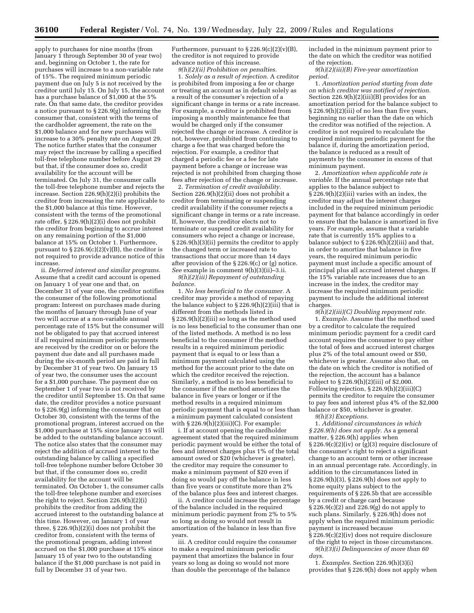apply to purchases for nine months (from January 1 through September 30 of year two) and, beginning on October 1, the rate for purchases will increase to a non-variable rate of 15%. The required minimum periodic payment due on July 5 is not received by the creditor until July 15. On July 15, the account has a purchase balance of \$1,000 at the 5% rate. On that same date, the creditor provides a notice pursuant to § 226.9(g) informing the consumer that, consistent with the terms of the cardholder agreement, the rate on the \$1,000 balance and for new purchases will increase to a 30% penalty rate on August 29. The notice further states that the consumer may reject the increase by calling a specified toll-free telephone number before August 29 but that, if the consumer does so, credit availability for the account will be terminated. On July 31, the consumer calls the toll-free telephone number and rejects the increase. Section 226.9(h)(2)(i) prohibits the creditor from increasing the rate applicable to the \$1,000 balance at this time. However, consistent with the terms of the promotional rate offer, § 226.9(h)(2)(i) does not prohibit the creditor from beginning to accrue interest on any remaining portion of the \$1,000 balance at 15% on October 1. Furthermore, pursuant to  $\S 226.9(c)(2)(v)(B)$ , the creditor is not required to provide advance notice of this increase.

ii. *Deferred interest and similar programs.*  Assume that a credit card account is opened on January 1 of year one and that, on December 31 of year one, the creditor notifies the consumer of the following promotional program: Interest on purchases made during the months of January through June of year two will accrue at a non-variable annual percentage rate of 15% but the consumer will not be obligated to pay that accrued interest if all required minimum periodic payments are received by the creditor on or before the payment due date and all purchases made during the six-month period are paid in full by December 31 of year two. On January 15 of year two, the consumer uses the account for a \$1,000 purchase. The payment due on September 1 of year two is not received by the creditor until September 15. On that same date, the creditor provides a notice pursuant to § 226.9(g) informing the consumer that on October 30, consistent with the terms of the promotional program, interest accrued on the \$1,000 purchase at 15% since January 15 will be added to the outstanding balance account. The notice also states that the consumer may reject the addition of accrued interest to the outstanding balance by calling a specified toll-free telephone number before October 30 but that, if the consumer does so, credit availability for the account will be terminated. On October 1, the consumer calls the toll-free telephone number and exercises the right to reject. Section 226.9(h)(2)(i) prohibits the creditor from adding the accrued interest to the outstanding balance at this time. However, on January 1 of year three, § 226.9(h)(2)(i) does not prohibit the creditor from, consistent with the terms of the promotional program, adding interest accrued on the \$1,000 purchase at 15% since January 15 of year two to the outstanding balance if the \$1,000 purchase is not paid in full by December 31 of year two.

Furthermore, pursuant to  $\S 226.9(c)(2)(v)(B)$ , the creditor is not required to provide advance notice of this increase. *9(h)(2)(ii) Prohibition on penalties.* 

1. *Solely as a result of rejection.* A creditor is prohibited from imposing a fee or charge or treating an account as in default solely as a result of the consumer's rejection of a significant change in terms or a rate increase. For example, a creditor is prohibited from imposing a monthly maintenance fee that would be charged only if the consumer rejected the change or increase. A creditor is not, however, prohibited from continuing to charge a fee that was charged before the rejection. For example, a creditor that charged a periodic fee or a fee for late payment before a change or increase was rejected is not prohibited from charging those fees after rejection of the change or increase.

2. *Termination of credit availability.*  Section 226.9(h)(2)(ii) does not prohibit a creditor from terminating or suspending credit availability if the consumer rejects a significant change in terms or a rate increase. If, however, the creditor elects not to terminate or suspend credit availability for consumers who reject a change or increase, § 226.9(h)(3)(ii) permits the creditor to apply the changed term or increased rate to transactions that occur more than 14 days after provision of the § 226.9(c) or (g) notice. *See* example in comment 9(h)(3)(ii)–3.ii.

*9(h)(2)(iii) Repayment of outstanding balance.* 

1. *No less beneficial to the consumer.* A creditor may provide a method of repaying the balance subject to  $\S 226.9(h)(2)(iii)$  that is different from the methods listed in § 226.9(h)(2)(iii) so long as the method used is no less beneficial to the consumer than one of the listed methods. A method is no less beneficial to the consumer if the method results in a required minimum periodic payment that is equal to or less than a minimum payment calculated using the method for the account prior to the date on which the creditor received the rejection. Similarly, a method is no less beneficial to the consumer if the method amortizes the balance in five years or longer or if the method results in a required minimum periodic payment that is equal to or less than a minimum payment calculated consistent with  $\S 226.9(h)(2)(iii)(C)$ . For example:

i. If at account opening the cardholder agreement stated that the required minimum periodic payment would be either the total of fees and interest charges plus 1% of the total amount owed or \$20 (whichever is greater), the creditor may require the consumer to make a minimum payment of \$20 even if doing so would pay off the balance in less than five years or constitute more than 2% of the balance plus fees and interest charges.

ii. A creditor could increase the percentage of the balance included in the required minimum periodic payment from 2% to 5% so long as doing so would not result in amortization of the balance in less than five years.

iii. A creditor could require the consumer to make a required minimum periodic payment that amortizes the balance in four years so long as doing so would not more than double the percentage of the balance

included in the minimum payment prior to the date on which the creditor was notified of the rejection.

*9(h)(2)(iii)(B) Five-year amortization period.* 

1. *Amortization period starting from date on which creditor was notified of rejection.*  Section 226.9(h)(2)(iii)(B) provides for an amortization period for the balance subject to § 226.9(h)(2)(iii) of no less than five years, beginning no earlier than the date on which the creditor was notified of the rejection. A creditor is not required to recalculate the required minimum periodic payment for the balance if, during the amortization period, the balance is reduced as a result of payments by the consumer in excess of that minimum payment.

2. *Amortization when applicable rate is variable.* If the annual percentage rate that applies to the balance subject to § 226.9(h)(2)(iii) varies with an index, the creditor may adjust the interest charges included in the required minimum periodic payment for that balance accordingly in order to ensure that the balance is amortized in five years. For example, assume that a variable rate that is currently 15% applies to a balance subject to  $\S 226.9(h)(2)(iii)$  and that, in order to amortize that balance in five years, the required minimum periodic payment must include a specific amount of principal plus all accrued interest charges. If the 15% variable rate increases due to an increase in the index, the creditor may increase the required minimum periodic payment to include the additional interest charges.

*9(h)(2)(iii)(C) Doubling repayment rate.*  1. *Example.* Assume that the method used by a creditor to calculate the required minimum periodic payment for a credit card account requires the consumer to pay either the total of fees and accrued interest charges plus 2% of the total amount owed or \$50, whichever is greater. Assume also that, on the date on which the creditor is notified of the rejection, the account has a balance subject to § 226.9(h)(2)(iii) of \$2,000. Following rejection,  $\S 226.9(h)(2)(iii)(C)$ permits the creditor to require the consumer to pay fees and interest plus 4% of the \$2,000 balance or \$50, whichever is greater.

*9(h)(3) Exceptions.*  1. *Additional circumstances in which § 226.9(h) does not apply.* As a general matter, § 226.9(h) applies when  $\S 226.9(c)(2)(iv)$  or  $(g)(3)$  require disclosure of the consumer's right to reject a significant change to an account term or other increase in an annual percentage rate. Accordingly, in addition to the circumstances listed in § 226.9(h)(3), § 226.9(h) does not apply to home equity plans subject to the requirements of § 226.5b that are accessible by a credit or charge card because  $\frac{226.9(c)}{2}$  and 226.9(g) do not apply to such plans. Similarly, § 226.9(h) does not apply when the required minimum periodic payment is increased because

§ 226.9(c)(2)(iv) does not require disclosure of the right to reject in those circumstances. *9(h)(3)(i) Delinquencies of more than 60 days.* 

1. *Examples.* Section 226.9(h)(3)(i) provides that § 226.9(h) does not apply when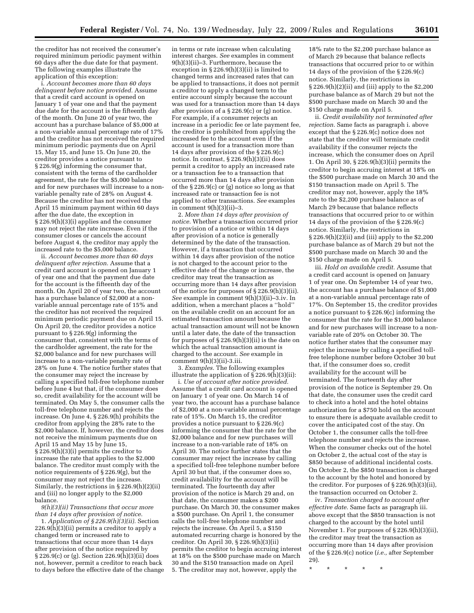the creditor has not received the consumer's required minimum periodic payment within 60 days after the due date for that payment. The following examples illustrate the application of this exception:

i. *Account becomes more than 60 days delinquent before notice provided.* Assume that a credit card account is opened on January 1 of year one and that the payment due date for the account is the fifteenth day of the month. On June 20 of year two, the account has a purchase balance of \$5,000 at a non-variable annual percentage rate of 17% and the creditor has not received the required minimum periodic payments due on April 15, May 15, and June 15. On June 20, the creditor provides a notice pursuant to § 226.9(g) informing the consumer that, consistent with the terms of the cardholder agreement, the rate for the \$5,000 balance and for new purchases will increase to a nonvariable penalty rate of 28% on August 4. Because the creditor has not received the April 15 minimum payment within 60 days after the due date, the exception in § 226.9(h)(3)(i) applies and the consumer may not reject the rate increase. Even if the consumer closes or cancels the account before August 4, the creditor may apply the increased rate to the \$5,000 balance.

ii. *Account becomes more than 60 days delinquent after rejection.* Assume that a credit card account is opened on January 1 of year one and that the payment due date for the account is the fifteenth day of the month. On April 20 of year two, the account has a purchase balance of \$2,000 at a nonvariable annual percentage rate of 15% and the creditor has not received the required minimum periodic payment due on April 15. On April 20, the creditor provides a notice pursuant to § 226.9(g) informing the consumer that, consistent with the terms of the cardholder agreement, the rate for the \$2,000 balance and for new purchases will increase to a non-variable penalty rate of 28% on June 4. The notice further states that the consumer may reject the increase by calling a specified toll-free telephone number before June 4 but that, if the consumer does so, credit availability for the account will be terminated. On May 5, the consumer calls the toll-free telephone number and rejects the increase. On June 4, § 226.9(h) prohibits the creditor from applying the 28% rate to the \$2,000 balance. If, however, the creditor does not receive the minimum payments due on April 15 and May 15 by June 15, § 226.9(h)(3)(i) permits the creditor to increase the rate that applies to the \$2,000 balance. The creditor must comply with the notice requirements of § 226.9(g), but the consumer may not reject the increase. Similarly, the restrictions in § 226.9(h)(2)(ii) and (iii) no longer apply to the \$2,000 balance.

*9(h)(3)(ii) Transactions that occur more than 14 days after provision of notice.* 

1. *Application of § 226.9(h)(3)(ii).* Section 226.9(h)(3)(ii) permits a creditor to apply a changed term or increased rate to transactions that occur more than 14 days after provision of the notice required by  $\S 226.9(c)$  or (g). Section 226.9(h)(3)(ii) does not, however, permit a creditor to reach back to days before the effective date of the change

in terms or rate increase when calculating interest charges. *See* examples in comment 9(h)(3)(ii)–3. Furthermore, because the exception in § 226.9(h)(3)(ii) is limited to changed terms and increased rates that can be applied to transactions, it does not permit a creditor to apply a changed term to the entire account simply because the account was used for a transaction more than 14 days after provision of a § 226.9(c) or (g) notice. For example, if a consumer rejects an increase in a periodic fee or late payment fee, the creditor is prohibited from applying the increased fee to the account even if the account is used for a transaction more than 14 days after provision of the § 226.9(c) notice. In contrast, § 226.9(h)(3)(ii) does permit a creditor to apply an increased rate or a transaction fee to a transaction that occurred more than 14 days after provision of the § 226.9(c) or (g) notice so long as that increased rate or transaction fee is not applied to other transactions. *See* examples in comment  $9(h)(3)(ii)-3$ .

2. *More than 14 days after provision of notice.* Whether a transaction occurred prior to provision of a notice or within 14 days after provision of a notice is generally determined by the date of the transaction. However, if a transaction that occurred within 14 days after provision of the notice is not charged to the account prior to the effective date of the change or increase, the creditor may treat the transaction as occurring more than 14 days after provision of the notice for purposes of § 226.9(h)(3)(ii). *See* example in comment 9(h)(3)(ii)–3.iv. In addition, when a merchant places a ''hold'' on the available credit on an account for an estimated transaction amount because the actual transaction amount will not be known until a later date, the date of the transaction for purposes of  $\S 226.9(h)(3)(ii)$  is the date on which the actual transaction amount is charged to the account. *See* example in comment 9(h)(3)(ii)-3.iii.

3. *Examples.* The following examples illustrate the application of  $\S 226.9(h)(3)(ii)$ :

i. *Use of account after notice provided.*  Assume that a credit card account is opened on January 1 of year one. On March 14 of year two, the account has a purchase balance of \$2,000 at a non-variable annual percentage rate of 15%. On March 15, the creditor provides a notice pursuant to § 226.9(c) informing the consumer that the rate for the \$2,000 balance and for new purchases will increase to a non-variable rate of 18% on April 30. The notice further states that the consumer may reject the increase by calling a specified toll-free telephone number before April 30 but that, if the consumer does so, credit availability for the account will be terminated. The fourteenth day after provision of the notice is March 29 and, on that date, the consumer makes a \$200 purchase. On March 30, the consumer makes a \$500 purchase. On April 1, the consumer calls the toll-free telephone number and rejects the increase. On April 5, a \$150 automated recurring charge is honored by the creditor. On April 30, § 226.9(h)(3)(ii) permits the creditor to begin accruing interest at 18% on the \$500 purchase made on March 30 and the \$150 transaction made on April 5. The creditor may not, however, apply the

18% rate to the \$2,200 purchase balance as of March 29 because that balance reflects transactions that occurred prior to or within 14 days of the provision of the § 226.9(c) notice. Similarly, the restrictions in § 226.9(h)(2)(ii) and (iii) apply to the \$2,200 purchase balance as of March 29 but not the \$500 purchase made on March 30 and the \$150 charge made on April 5.

ii. *Credit availability not terminated after rejection.* Same facts as paragraph i. above except that the § 226.9(c) notice does not state that the creditor will terminate credit availability if the consumer rejects the increase, which the consumer does on April 1. On April 30, § 226.9(h)(3)(ii) permits the creditor to begin accruing interest at 18% on the \$500 purchase made on March 30 and the \$150 transaction made on April 5. The creditor may not, however, apply the 18% rate to the \$2,200 purchase balance as of March 29 because that balance reflects transactions that occurred prior to or within 14 days of the provision of the § 226.9(c) notice. Similarly, the restrictions in  $\S 226.9(h)(2)(ii)$  and (iii) apply to the \$2,200 purchase balance as of March 29 but not the \$500 purchase made on March 30 and the \$150 charge made on April 5.

iii. *Hold on available credit.* Assume that a credit card account is opened on January 1 of year one. On September 14 of year two, the account has a purchase balance of \$1,000 at a non-variable annual percentage rate of 17%. On September 15, the creditor provides a notice pursuant to § 226.9(c) informing the consumer that the rate for the \$1,000 balance and for new purchases will increase to a nonvariable rate of 20% on October 30. The notice further states that the consumer may reject the increase by calling a specified tollfree telephone number before October 30 but that, if the consumer does so, credit availability for the account will be terminated. The fourteenth day after provision of the notice is September 29. On that date, the consumer uses the credit card to check into a hotel and the hotel obtains authorization for a \$750 hold on the account to ensure there is adequate available credit to cover the anticipated cost of the stay. On October 1, the consumer calls the toll-free telephone number and rejects the increase. When the consumer checks out of the hotel on October 2, the actual cost of the stay is \$850 because of additional incidental costs. On October 2, the \$850 transaction is charged to the account by the hotel and honored by the creditor. For purposes of § 226.9(h)(3)(ii), the transaction occurred on October 2.

iv. *Transaction charged to account after effective date.* Same facts as paragraph iii. above except that the \$850 transaction is not charged to the account by the hotel until November 1. For purposes of § 226.9(h)(3)(ii), the creditor may treat the transaction as occurring more than 14 days after provision of the § 226.9(c) notice (*i.e.,* after September 29).

\* \* \* \* \*